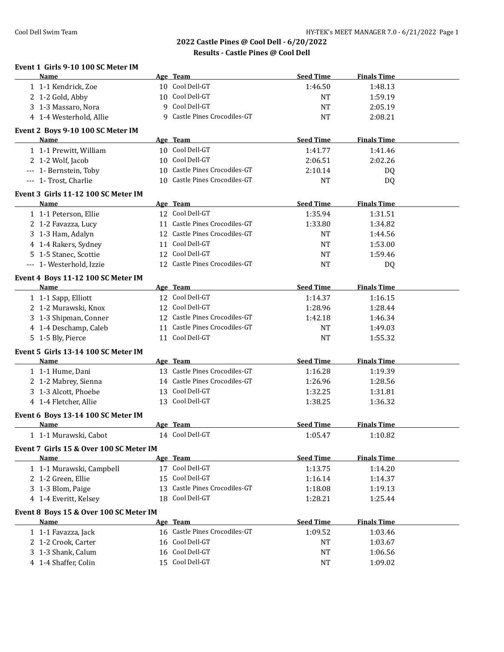| Event 1 Girls 9-10 100 SC Meter IM               |                                                                                                                                                                                                                                                   |                             |                               |  |
|--------------------------------------------------|---------------------------------------------------------------------------------------------------------------------------------------------------------------------------------------------------------------------------------------------------|-----------------------------|-------------------------------|--|
| Name                                             | Age Team<br>10 Cool Dell-GT                                                                                                                                                                                                                       | <b>Seed Time</b><br>1:46.50 | <b>Finals Time</b><br>1:48.13 |  |
| 1 1-1 Kendrick, Zoe<br>2 1-2 Gold, Abby          | 10 Cool Dell-GT                                                                                                                                                                                                                                   | <b>NT</b>                   | 1:59.19                       |  |
| 3 1-3 Massaro, Nora                              | 9 Cool Dell-GT                                                                                                                                                                                                                                    | <b>NT</b>                   | 2:05.19                       |  |
| 4 1-4 Westerhold, Allie                          | 9 Castle Pines Crocodiles-GT                                                                                                                                                                                                                      | <b>NT</b>                   | 2:08.21                       |  |
|                                                  |                                                                                                                                                                                                                                                   |                             |                               |  |
| Event 2 Boys 9-10 100 SC Meter IM<br><b>Name</b> | Age Team                                                                                                                                                                                                                                          | <b>Seed Time</b>            | <b>Finals Time</b>            |  |
| 1 1-1 Prewitt, William                           | 10 Cool Dell-GT                                                                                                                                                                                                                                   | 1:41.77                     | 1:41.46                       |  |
| 2 1-2 Wolf, Jacob                                | 10 Cool Dell-GT                                                                                                                                                                                                                                   | 2:06.51                     | 2:02.26                       |  |
| --- 1- Bernstein, Toby                           | 10 Castle Pines Crocodiles-GT                                                                                                                                                                                                                     | 2:10.14                     | DQ                            |  |
| --- 1- Trost, Charlie                            | 10 Castle Pines Crocodiles-GT                                                                                                                                                                                                                     | <b>NT</b>                   | <b>DQ</b>                     |  |
|                                                  |                                                                                                                                                                                                                                                   |                             |                               |  |
| Event 3 Girls 11-12 100 SC Meter IM<br>Name      | Age Team                                                                                                                                                                                                                                          | <b>Seed Time</b>            | <b>Finals Time</b>            |  |
| 1 1-1 Peterson, Ellie                            | 12 Cool Dell-GT                                                                                                                                                                                                                                   | 1:35.94                     | 1:31.51                       |  |
| 2 1-2 Favazza, Lucy                              | 11 Castle Pines Crocodiles-GT                                                                                                                                                                                                                     | 1:33.80                     | 1:34.82                       |  |
| 3 1-3 Ham, Adalyn                                | 12 Castle Pines Crocodiles-GT                                                                                                                                                                                                                     | NT                          | 1:44.56                       |  |
| 4 1-4 Rakers, Sydney                             | 11 Cool Dell-GT                                                                                                                                                                                                                                   | NT                          | 1:53.00                       |  |
| 5 1-5 Stanec, Scottie                            | 12 Cool Dell-GT                                                                                                                                                                                                                                   | NT                          | 1:59.46                       |  |
| --- 1- Westerhold, Izzie                         | 12 Castle Pines Crocodiles-GT                                                                                                                                                                                                                     | NT                          | DQ                            |  |
|                                                  |                                                                                                                                                                                                                                                   |                             |                               |  |
| Event 4 Boys 11-12 100 SC Meter IM<br>Name       |                                                                                                                                                                                                                                                   | <b>Seed Time</b>            | <b>Finals Time</b>            |  |
| 1 1-1 Sapp, Elliott                              | Age Team and the state of the state of the state of the state of the state of the state of the state of the state of the state of the state of the state of the state of the state of the state of the state of the state of t<br>12 Cool Dell-GT | 1:14.37                     | 1:16.15                       |  |
|                                                  | 12 Cool Dell-GT                                                                                                                                                                                                                                   |                             |                               |  |
| 2 1-2 Murawski, Knox                             | 12 Castle Pines Crocodiles-GT                                                                                                                                                                                                                     | 1:28.96                     | 1:28.44                       |  |
| 3 1-3 Shipman, Conner                            |                                                                                                                                                                                                                                                   | 1:42.18                     | 1:46.34                       |  |
| 4 1-4 Deschamp, Caleb                            | 11 Castle Pines Crocodiles-GT<br>11 Cool Dell-GT                                                                                                                                                                                                  | NT<br><b>NT</b>             | 1:49.03                       |  |
| 5 1-5 Bly, Pierce                                |                                                                                                                                                                                                                                                   |                             | 1:55.32                       |  |
| Event 5 Girls 13-14 100 SC Meter IM<br>Name      | Age Team                                                                                                                                                                                                                                          | <b>Seed Time</b>            | <b>Finals Time</b>            |  |
| 1 1-1 Hume, Dani                                 | 13 Castle Pines Crocodiles-GT                                                                                                                                                                                                                     | 1:16.28                     | 1:19.39                       |  |
| 2 1-2 Mabrey, Sienna                             | 14 Castle Pines Crocodiles-GT                                                                                                                                                                                                                     | 1:26.96                     | 1:28.56                       |  |
| 3 1-3 Alcott, Phoebe                             | 13 Cool Dell-GT                                                                                                                                                                                                                                   | 1:32.25                     | 1:31.81                       |  |
| 4 1-4 Fletcher, Allie                            | 13 Cool Dell-GT                                                                                                                                                                                                                                   | 1:38.25                     | 1:36.32                       |  |
|                                                  |                                                                                                                                                                                                                                                   |                             |                               |  |
| Event 6 Boys 13-14 100 SC Meter IM<br>Name       | Age Team                                                                                                                                                                                                                                          | <b>Seed Time</b>            | <b>Finals Time</b>            |  |
| 1 1-1 Murawski, Cabot                            | 14 Cool Dell-GT                                                                                                                                                                                                                                   | 1:05.47                     | 1:10.82                       |  |
| Event 7 Girls 15 & Over 100 SC Meter IM          |                                                                                                                                                                                                                                                   |                             |                               |  |
| Name                                             | Age Team                                                                                                                                                                                                                                          | <b>Seed Time</b>            | <b>Finals Time</b>            |  |
| 1 1-1 Murawski, Campbell                         | 17 Cool Dell-GT                                                                                                                                                                                                                                   | 1:13.75                     | 1:14.20                       |  |
| 2 1-2 Green, Ellie                               | 15 Cool Dell-GT                                                                                                                                                                                                                                   | 1:16.14                     | 1:14.37                       |  |
| 3 1-3 Blom, Paige                                | 13 Castle Pines Crocodiles-GT                                                                                                                                                                                                                     | 1:18.08                     | 1:19.13                       |  |
| 4 1-4 Everitt, Kelsey                            | 18 Cool Dell-GT                                                                                                                                                                                                                                   | 1:28.21                     | 1:25.44                       |  |
| Event 8 Boys 15 & Over 100 SC Meter IM           |                                                                                                                                                                                                                                                   |                             |                               |  |
| Name                                             | Age Team                                                                                                                                                                                                                                          | <b>Seed Time</b>            | <b>Finals Time</b>            |  |
| 1 1-1 Favazza, Jack                              | 16 Castle Pines Crocodiles-GT                                                                                                                                                                                                                     | 1:09.52                     | 1:03.46                       |  |
| 2 1-2 Crook, Carter                              | 16 Cool Dell-GT                                                                                                                                                                                                                                   | NT                          | 1:03.67                       |  |
| 3 1-3 Shank, Calum                               | 16 Cool Dell-GT                                                                                                                                                                                                                                   | NT                          | 1:06.56                       |  |
| 4 1-4 Shaffer, Colin                             | 15 Cool Dell-GT                                                                                                                                                                                                                                   | NT                          | 1:09.02                       |  |
|                                                  |                                                                                                                                                                                                                                                   |                             |                               |  |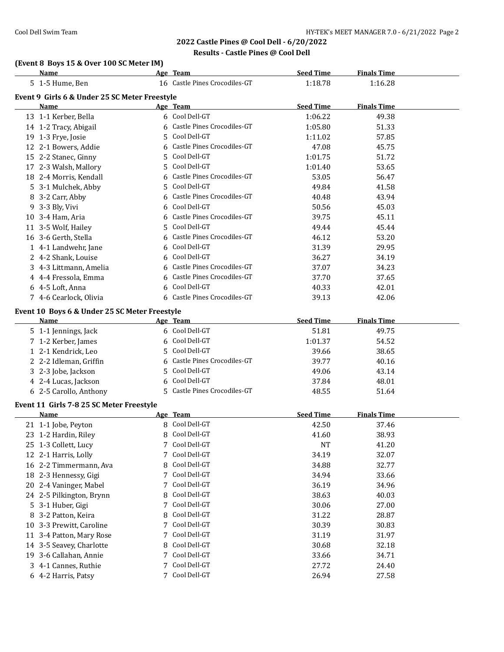# **(Event 8 Boys 15 & Over 100 SC Meter IM)**

|   | Name                                                         |    | Age Team                      | <b>Seed Time</b> | <b>Finals Time</b> |  |
|---|--------------------------------------------------------------|----|-------------------------------|------------------|--------------------|--|
|   | 5 1-5 Hume, Ben                                              |    | 16 Castle Pines Crocodiles-GT | 1:18.78          | 1:16.28            |  |
|   | Event 9 Girls 6 & Under 25 SC Meter Freestyle                |    |                               |                  |                    |  |
|   | Name                                                         |    | Age Team                      | <b>Seed Time</b> | <b>Finals Time</b> |  |
|   | 13 1-1 Kerber, Bella                                         |    | 6 Cool Dell-GT                | 1:06.22          | 49.38              |  |
|   | 14 1-2 Tracy, Abigail                                        | 6  | Castle Pines Crocodiles-GT    | 1:05.80          | 51.33              |  |
|   | 19 1-3 Frye, Josie                                           | 5  | Cool Dell-GT                  | 1:11.02          | 57.85              |  |
|   | 12 2-1 Bowers, Addie                                         | 6  | Castle Pines Crocodiles-GT    | 47.08            | 45.75              |  |
|   | 15 2-2 Stanec, Ginny                                         | 5. | Cool Dell-GT                  | 1:01.75          | 51.72              |  |
|   | 17 2-3 Walsh, Mallory                                        | 5. | Cool Dell-GT                  | 1:01.40          | 53.65              |  |
|   | 18 2-4 Morris, Kendall                                       | 6  | Castle Pines Crocodiles-GT    | 53.05            | 56.47              |  |
|   | 5 3-1 Mulchek, Abby                                          | 5. | Cool Dell-GT                  | 49.84            | 41.58              |  |
|   | 8 3-2 Carr, Abby                                             | 6  | Castle Pines Crocodiles-GT    | 40.48            | 43.94              |  |
|   | 9 3-3 Bly, Vivi                                              | 6  | Cool Dell-GT                  | 50.56            | 45.03              |  |
|   | 10 3-4 Ham, Aria                                             | 6  | Castle Pines Crocodiles-GT    | 39.75            | 45.11              |  |
|   | 11 3-5 Wolf, Hailey                                          | 5  | Cool Dell-GT                  | 49.44            | 45.44              |  |
|   | 16 3-6 Gerth, Stella                                         | 6  | Castle Pines Crocodiles-GT    | 46.12            | 53.20              |  |
|   | 1 4-1 Landwehr, Jane                                         | 6  | Cool Dell-GT                  | 31.39            | 29.95              |  |
|   | 2 4-2 Shank, Louise                                          | 6  | Cool Dell-GT                  | 36.27            | 34.19              |  |
|   | 3 4-3 Littmann, Amelia                                       | 6  | Castle Pines Crocodiles-GT    | 37.07            | 34.23              |  |
|   | 4 4-4 Fressola, Emma                                         | 6  | Castle Pines Crocodiles-GT    | 37.70            | 37.65              |  |
|   | 6 4-5 Loft, Anna                                             | 6  | Cool Dell-GT                  | 40.33            | 42.01              |  |
|   | 7 4-6 Cearlock, Olivia                                       | 6  | Castle Pines Crocodiles-GT    | 39.13            | 42.06              |  |
|   |                                                              |    |                               |                  |                    |  |
|   | Event 10 Boys 6 & Under 25 SC Meter Freestyle<br><b>Name</b> |    | Age Team                      | <b>Seed Time</b> | <b>Finals Time</b> |  |
|   | 5 1-1 Jennings, Jack                                         |    | 6 Cool Dell-GT                | 51.81            | 49.75              |  |
|   | 7 1-2 Kerber, James                                          | 6  | Cool Dell-GT                  | 1:01.37          | 54.52              |  |
|   | 1 2-1 Kendrick, Leo                                          | 5. | Cool Dell-GT                  | 39.66            | 38.65              |  |
|   | 2 2-2 Idleman, Griffin                                       | 6  | Castle Pines Crocodiles-GT    | 39.77            | 40.16              |  |
|   | 3 2-3 Jobe, Jackson                                          | 5  | Cool Dell-GT                  | 49.06            | 43.14              |  |
|   |                                                              | 6  | Cool Dell-GT                  | 37.84            | 48.01              |  |
|   | 4 2-4 Lucas, Jackson<br>6 2-5 Carollo, Anthony               | 5. | Castle Pines Crocodiles-GT    | 48.55            | 51.64              |  |
|   |                                                              |    |                               |                  |                    |  |
|   | Event 11 Girls 7-8 25 SC Meter Freestyle                     |    |                               |                  |                    |  |
|   | Name                                                         |    | Age Team                      | <b>Seed Time</b> | <b>Finals Time</b> |  |
|   | 21 1-1 Jobe, Peyton                                          | 8  | Cool Dell-GT                  | 42.50            | 37.46              |  |
|   | 23 1-2 Hardin, Riley                                         | 8  | Cool Dell-GT                  | 41.60            | 38.93              |  |
|   | 25 1-3 Collett, Lucy                                         | 7  | Cool Dell-GT                  | NT               | 41.20              |  |
|   | 12 2-1 Harris, Lolly                                         | 7  | Cool Dell-GT                  | 34.19            | 32.07              |  |
|   | 16 2-2 Timmermann, Ava                                       | 8  | Cool Dell-GT                  | 34.88            | 32.77              |  |
|   | 18 2-3 Hennessy, Gigi                                        | 7  | Cool Dell-GT                  | 34.94            | 33.66              |  |
|   | 20 2-4 Vaninger, Mabel                                       | 7  | Cool Dell-GT                  | 36.19            | 34.96              |  |
|   | 24 2-5 Pilkington, Brynn                                     | 8  | Cool Dell-GT                  | 38.63            | 40.03              |  |
|   | 5 3-1 Huber, Gigi                                            | 7  | Cool Dell-GT                  | 30.06            | 27.00              |  |
| 8 | 3-2 Patton, Keira                                            | 8  | Cool Dell-GT                  | 31.22            | 28.87              |  |
|   | 10 3-3 Prewitt, Caroline                                     | 7  | Cool Dell-GT                  | 30.39            | 30.83              |  |
|   | 11 3-4 Patton, Mary Rose                                     | 7  | Cool Dell-GT                  | 31.19            | 31.97              |  |
|   | 14 3-5 Seavey, Charlotte                                     | 8  | Cool Dell-GT                  | 30.68            | 32.18              |  |
|   | 19 3-6 Callahan, Annie                                       | 7  | Cool Dell-GT                  | 33.66            | 34.71              |  |
|   | 3 4-1 Cannes, Ruthie                                         | 7  | Cool Dell-GT                  | 27.72            | 24.40              |  |
|   | 6 4-2 Harris, Patsy                                          | 7  | Cool Dell-GT                  | 26.94            | 27.58              |  |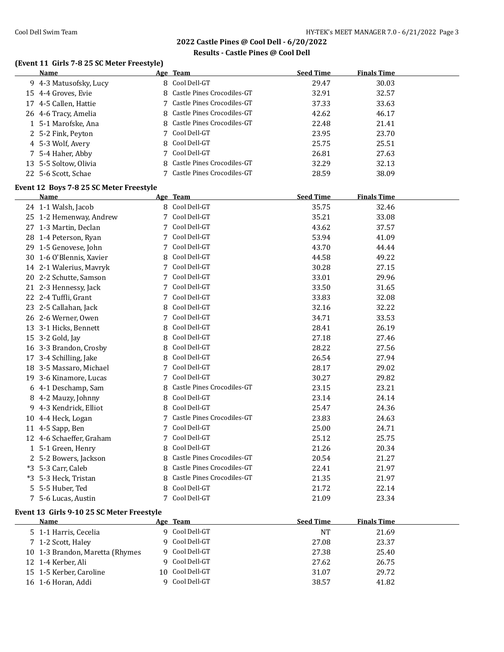### **Results - Castle Pines @ Cool Dell**

## **(Event 11 Girls 7-8 25 SC Meter Freestyle)**

| Name                   | Age Team                     | <b>Seed Time</b> | <b>Finals Time</b> |
|------------------------|------------------------------|------------------|--------------------|
| 9 4-3 Matusofsky, Lucy | 8 Cool Dell-GT               | 29.47            | 30.03              |
| 15 4-4 Groves, Evie    | 8 Castle Pines Crocodiles-GT | 32.91            | 32.57              |
| 17 4-5 Callen, Hattie  | 7 Castle Pines Crocodiles-GT | 37.33            | 33.63              |
| 26 4-6 Tracy, Amelia   | 8 Castle Pines Crocodiles-GT | 42.62            | 46.17              |
| 1 5-1 Marofske, Ana    | 8 Castle Pines Crocodiles-GT | 22.48            | 21.41              |
| 2 5-2 Fink, Peyton     | 7 Cool Dell-GT               | 23.95            | 23.70              |
| 4 5-3 Wolf, Avery      | 8 Cool Dell-GT               | 25.75            | 25.51              |
| 7 5-4 Haher, Abby      | 7 Cool Dell-GT               | 26.81            | 27.63              |
| 13 5-5 Soltow, Olivia  | 8 Castle Pines Crocodiles-GT | 32.29            | 32.13              |
| 22 5-6 Scott, Schae    | 7 Castle Pines Crocodiles-GT | 28.59            | 38.09              |

### **Event 12 Boys 7-8 25 SC Meter Freestyle**

|      | Name                     |   | Age Team                   | <b>Seed Time</b> | <b>Finals Time</b> |  |
|------|--------------------------|---|----------------------------|------------------|--------------------|--|
|      | 24 1-1 Walsh, Jacob      |   | 8 Cool Dell-GT             | 35.75            | 32.46              |  |
|      | 25 1-2 Hemenway, Andrew  | 7 | Cool Dell-GT               | 35.21            | 33.08              |  |
|      | 27 1-3 Martin, Declan    | 7 | Cool Dell-GT               | 43.62            | 37.57              |  |
|      | 28 1-4 Peterson, Ryan    | 7 | Cool Dell-GT               | 53.94            | 41.09              |  |
|      | 29 1-5 Genovese, John    | 7 | Cool Dell-GT               | 43.70            | 44.44              |  |
|      | 30 1-6 O'Blennis, Xavier | 8 | Cool Dell-GT               | 44.58            | 49.22              |  |
|      | 14 2-1 Walerius, Mavryk  | 7 | Cool Dell-GT               | 30.28            | 27.15              |  |
|      | 20 2-2 Schutte, Samson   | 7 | Cool Dell-GT               | 33.01            | 29.96              |  |
| 21   | 2-3 Hennessy, Jack       | 7 | Cool Dell-GT               | 33.50            | 31.65              |  |
| 22   | 2-4 Tuffli, Grant        | 7 | Cool Dell-GT               | 33.83            | 32.08              |  |
| 23   | 2-5 Callahan, Jack       | 8 | Cool Dell-GT               | 32.16            | 32.22              |  |
| 26   | 2-6 Werner, Owen         | 7 | Cool Dell-GT               | 34.71            | 33.53              |  |
| 13   | 3-1 Hicks, Bennett       | 8 | Cool Dell-GT               | 28.41            | 26.19              |  |
| 15   | 3-2 Gold, Jay            | 8 | Cool Dell-GT               | 27.18            | 27.46              |  |
|      | 16 3-3 Brandon, Crosby   | 8 | Cool Dell-GT               | 28.22            | 27.56              |  |
| 17   | 3-4 Schilling, Jake      | 8 | Cool Dell-GT               | 26.54            | 27.94              |  |
|      | 18 3-5 Massaro, Michael  | 7 | Cool Dell-GT               | 28.17            | 29.02              |  |
|      | 19 3-6 Kinamore, Lucas   | 7 | Cool Dell-GT               | 30.27            | 29.82              |  |
|      | 6 4-1 Deschamp, Sam      | 8 | Castle Pines Crocodiles-GT | 23.15            | 23.21              |  |
| 8    | 4-2 Mauzy, Johnny        | 8 | Cool Dell-GT               | 23.14            | 24.14              |  |
| 9    | 4-3 Kendrick, Elliot     | 8 | Cool Dell-GT               | 25.47            | 24.36              |  |
|      | 10 4-4 Heck, Logan       |   | Castle Pines Crocodiles-GT | 23.83            | 24.63              |  |
|      | 11 4-5 Sapp, Ben         | 7 | Cool Dell-GT               | 25.00            | 24.71              |  |
|      | 12 4-6 Schaeffer, Graham | 7 | Cool Dell-GT               | 25.12            | 25.75              |  |
|      | 1 5-1 Green, Henry       | 8 | Cool Dell-GT               | 21.26            | 20.34              |  |
|      | 2 5-2 Bowers, Jackson    | 8 | Castle Pines Crocodiles-GT | 20.54            | 21.27              |  |
|      | *3 5-3 Carr, Caleb       | 8 | Castle Pines Crocodiles-GT | 22.41            | 21.97              |  |
| $*3$ | 5-3 Heck, Tristan        | 8 | Castle Pines Crocodiles-GT | 21.35            | 21.97              |  |
|      | 5 5-5 Huber, Ted         | 8 | Cool Dell-GT               | 21.72            | 22.14              |  |
|      | 7 5-6 Lucas, Austin      | 7 | Cool Dell-GT               | 21.09            | 23.34              |  |

### **Event 13 Girls 9-10 25 SC Meter Freestyle**

| Name                            | Age Team        | <b>Seed Time</b> | <b>Finals Time</b> |  |
|---------------------------------|-----------------|------------------|--------------------|--|
| 5 1-1 Harris, Cecelia           | 9 Cool Dell-GT  | NT               | 21.69              |  |
| 7 1-2 Scott, Haley              | 9 Cool Dell-GT  | 27.08            | 23.37              |  |
| 10 1-3 Brandon, Maretta (Rhymes | 9 Cool Dell-GT  | 27.38            | 25.40              |  |
| 12 1-4 Kerber, Ali              | 9 Cool Dell-GT  | 27.62            | 26.75              |  |
| 15 1-5 Kerber, Caroline         | 10 Cool Dell-GT | 31.07            | 29.72              |  |
| 16 1-6 Horan, Addi              | 9 Cool Dell-GT  | 38.57            | 41.82              |  |
|                                 |                 |                  |                    |  |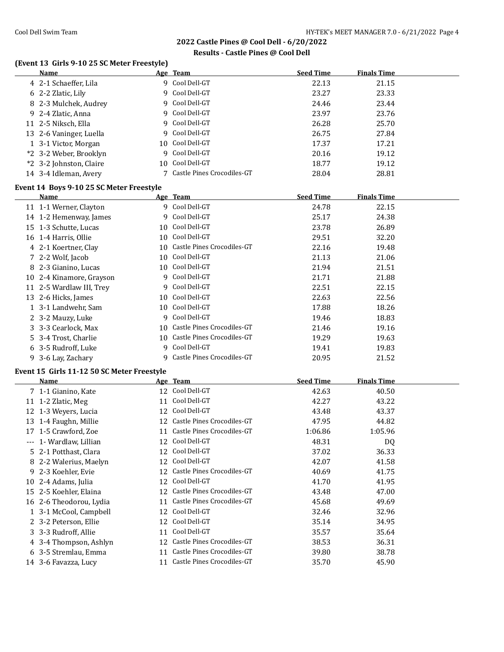### **Results - Castle Pines @ Cool Dell**

### **(Event 13 Girls 9-10 25 SC Meter Freestyle)**

| <b>Name</b>                                |                 | Age Team                      | <b>Seed Time</b> | <b>Finals Time</b> |  |
|--------------------------------------------|-----------------|-------------------------------|------------------|--------------------|--|
| 4 2-1 Schaeffer, Lila                      |                 | 9 Cool Dell-GT                | 22.13            | 21.15              |  |
| 6 2-2 Zlatic, Lily                         |                 | 9 Cool Dell-GT                | 23.27            | 23.33              |  |
| 8 2-3 Mulchek, Audrey                      |                 | 9 Cool Dell-GT                | 24.46            | 23.44              |  |
| 9 2-4 Zlatic, Anna                         | 9               | Cool Dell-GT                  | 23.97            | 23.76              |  |
| 11 2-5 Niksch, Ella                        |                 | 9 Cool Dell-GT                | 26.28            | 25.70              |  |
| 13 2-6 Vaninger, Luella                    |                 | 9 Cool Dell-GT                | 26.75            | 27.84              |  |
| 1 3-1 Victor, Morgan                       | 10              | Cool Dell-GT                  | 17.37            | 17.21              |  |
| *2 3-2 Weber, Brooklyn                     | 9               | Cool Dell-GT                  | 20.16            | 19.12              |  |
| *2 3-2 Johnston, Claire                    | 10 <sup>1</sup> | Cool Dell-GT                  | 18.77            | 19.12              |  |
| 14 3-4 Idleman, Avery                      |                 | 7 Castle Pines Crocodiles-GT  | 28.04            | 28.81              |  |
| Event 14 Boys 9-10 25 SC Meter Freestyle   |                 |                               |                  |                    |  |
| Name                                       |                 | Age Team                      | <b>Seed Time</b> | <b>Finals Time</b> |  |
| 11 1-1 Werner, Clayton                     |                 | 9 Cool Dell-GT                | 24.78            | 22.15              |  |
| 14 1-2 Hemenway, James                     |                 | 9 Cool Dell-GT                | 25.17            | 24.38              |  |
| 15 1-3 Schutte, Lucas                      |                 | 10 Cool Dell-GT               | 23.78            | 26.89              |  |
| 16 1-4 Harris, Ollie                       |                 | 10 Cool Dell-GT               | 29.51            | 32.20              |  |
| 4 2-1 Koertner, Clay                       |                 | 10 Castle Pines Crocodiles-GT | 22.16            | 19.48              |  |
| 7 2-2 Wolf, Jacob                          |                 | 10 Cool Dell-GT               | 21.13            | 21.06              |  |
| 8 2-3 Gianino, Lucas                       |                 | 10 Cool Dell-GT               | 21.94            | 21.51              |  |
| 10 2-4 Kinamore, Grayson                   |                 | 9 Cool Dell-GT                | 21.71            | 21.88              |  |
| 11 2-5 Wardlaw III, Trey                   |                 | 9 Cool Dell-GT                | 22.51            | 22.15              |  |
| 13 2-6 Hicks, James                        |                 | 10 Cool Dell-GT               | 22.63            | 22.56              |  |
| 1 3-1 Landwehr, Sam                        |                 | 10 Cool Dell-GT               | 17.88            | 18.26              |  |
| 2 3-2 Mauzy, Luke                          |                 | 9 Cool Dell-GT                | 19.46            | 18.83              |  |
| 3 3-3 Cearlock, Max                        |                 | 10 Castle Pines Crocodiles-GT | 21.46            | 19.16              |  |
| 5 3-4 Trost, Charlie                       |                 | 10 Castle Pines Crocodiles-GT | 19.29            | 19.63              |  |
| 6 3-5 Rudroff, Luke                        |                 | 9 Cool Dell-GT                | 19.41            | 19.83              |  |
| 9 3-6 Lay, Zachary                         |                 | 9 Castle Pines Crocodiles-GT  | 20.95            | 21.52              |  |
| Event 15 Girls 11-12 50 SC Meter Freestyle |                 |                               |                  |                    |  |
| Name                                       |                 | Age Team                      | <b>Seed Time</b> | <b>Finals Time</b> |  |
| 7 1-1 Gianino, Kate                        |                 | 12 Cool Dell-GT               | 42.63            | 40.50              |  |
| 11 1-2 Zlatic, Meg                         |                 | 11 Cool Dell-GT               | 42.27            | 43.22              |  |
| 12 1-3 Weyers, Lucia                       |                 | 12 Cool Dell-GT               | 43.48            | 43.37              |  |

 1-4 Faughn, Millie 12 Castle Pines Crocodiles-GT 47.95 44.82 1-5 Crawford, Zoe 11 Castle Pines Crocodiles-GT 1:06.86 1:05.96 --- 1- Wardlaw, Lillian 12 Cool Dell-GT 48.31 DQ 2-1 Potthast, Clara 12 Cool Dell-GT 37.02 36.33 8 2-2 Walerius, Maelyn 12 Cool Dell-GT 42.07 41.58 9 2-3 Koehler, Evie 12 Castle Pines Crocodiles-GT 40.69 41.75<br>
12 Cool Dell-GT 41.70 41.95 2-4 Adams, Julia 12 Cool Dell-GT 41.70 41.95 2-5 Koehler, Elaina 12 Castle Pines Crocodiles-GT 43.48 47.00 2-6 Theodorou, Lydia 11 Castle Pines Crocodiles-GT 45.68 49.69 3-1 McCool, Campbell 12 Cool Dell-GT 32.46 32.96 3-2 Peterson, Ellie 12 Cool Dell-GT 35.14 34.95 3-3 Rudroff, Allie 11 Cool Dell-GT 35.57 35.64 4 3-4 Thompson, Ashlyn 12 Castle Pines Crocodiles-GT 38.53 36.31 3-5 Stremlau, Emma 11 Castle Pines Crocodiles-GT 39.80 38.78 3-6 Favazza, Lucy 11 Castle Pines Crocodiles-GT 35.70 45.90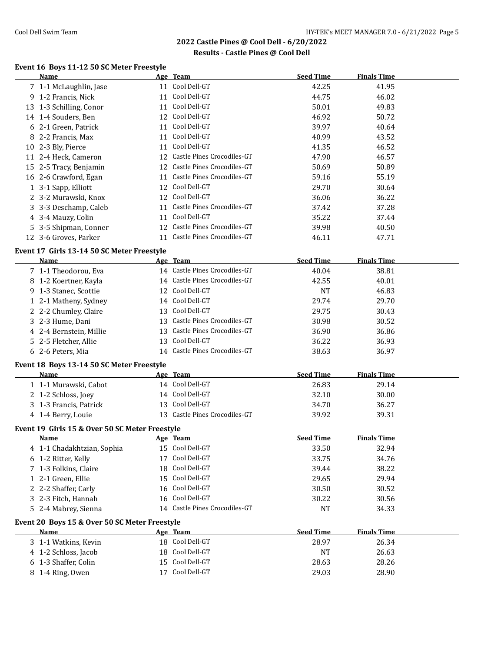## **Results - Castle Pines @ Cool Dell**

# **Event 16 Boys 11-12 50 SC Meter Freestyle**

| EVEIIL TO DOYS IT'LE SO SUMELET PLEESLYTE      |    |                               |                  |                    |  |
|------------------------------------------------|----|-------------------------------|------------------|--------------------|--|
| Name                                           |    | Age Team                      | <b>Seed Time</b> | <b>Finals Time</b> |  |
| 7 1-1 McLaughlin, Jase                         |    | 11 Cool Dell-GT               | 42.25            | 41.95              |  |
| 9 1-2 Francis, Nick                            |    | 11 Cool Dell-GT               | 44.75            | 46.02              |  |
| 13 1-3 Schilling, Conor                        |    | 11 Cool Dell-GT               | 50.01            | 49.83              |  |
| 14 1-4 Souders, Ben                            |    | 12 Cool Dell-GT               | 46.92            | 50.72              |  |
| 6 2-1 Green, Patrick                           |    | 11 Cool Dell-GT               | 39.97            | 40.64              |  |
| 8 2-2 Francis, Max                             |    | 11 Cool Dell-GT               | 40.99            | 43.52              |  |
| 10 2-3 Bly, Pierce                             |    | 11 Cool Dell-GT               | 41.35            | 46.52              |  |
| 11 2-4 Heck, Cameron                           |    | 12 Castle Pines Crocodiles-GT | 47.90            | 46.57              |  |
| 15 2-5 Tracy, Benjamin                         |    | 12 Castle Pines Crocodiles-GT | 50.69            | 50.89              |  |
| 16 2-6 Crawford, Egan                          |    | 11 Castle Pines Crocodiles-GT | 59.16            | 55.19              |  |
| 1 3-1 Sapp, Elliott                            | 12 | Cool Dell-GT                  | 29.70            | 30.64              |  |
| 2 3-2 Murawski, Knox                           |    | 12 Cool Dell-GT               | 36.06            | 36.22              |  |
| 3 3-3 Deschamp, Caleb                          |    | 11 Castle Pines Crocodiles-GT | 37.42            | 37.28              |  |
| 4 3-4 Mauzy, Colin                             |    | 11 Cool Dell-GT               | 35.22            | 37.44              |  |
| 5 3-5 Shipman, Conner                          |    | 12 Castle Pines Crocodiles-GT | 39.98            | 40.50              |  |
| 12 3-6 Groves, Parker                          |    | 11 Castle Pines Crocodiles-GT | 46.11            | 47.71              |  |
|                                                |    |                               |                  |                    |  |
| Event 17 Girls 13-14 50 SC Meter Freestyle     |    |                               |                  |                    |  |
| Name                                           |    | Age Team                      | <b>Seed Time</b> | <b>Finals Time</b> |  |
| 7 1-1 Theodorou, Eva                           |    | 14 Castle Pines Crocodiles-GT | 40.04            | 38.81              |  |
| 8 1-2 Koertner, Kayla                          |    | 14 Castle Pines Crocodiles-GT | 42.55            | 40.01              |  |
| 9 1-3 Stanec, Scottie                          |    | 12 Cool Dell-GT               | <b>NT</b>        | 46.83              |  |
| 1 2-1 Matheny, Sydney                          |    | 14 Cool Dell-GT               | 29.74            | 29.70              |  |
| 2 2-2 Chumley, Claire                          |    | 13 Cool Dell-GT               | 29.75            | 30.43              |  |
| 3 2-3 Hume, Dani                               |    | 13 Castle Pines Crocodiles-GT | 30.98            | 30.52              |  |
| 4 2-4 Bernstein, Millie                        |    | 13 Castle Pines Crocodiles-GT | 36.90            | 36.86              |  |
| 5 2-5 Fletcher, Allie                          |    | 13 Cool Dell-GT               | 36.22            | 36.93              |  |
| 6 2-6 Peters, Mia                              |    | 14 Castle Pines Crocodiles-GT | 38.63            | 36.97              |  |
| Event 18 Boys 13-14 50 SC Meter Freestyle      |    |                               |                  |                    |  |
| Name                                           |    | Age Team                      | <b>Seed Time</b> | <b>Finals Time</b> |  |
| 1 1-1 Murawski, Cabot                          |    | 14 Cool Dell-GT               | 26.83            | 29.14              |  |
| 2 1-2 Schloss, Joey                            |    | 14 Cool Dell-GT               | 32.10            | 30.00              |  |
| 3 1-3 Francis, Patrick                         |    | 13 Cool Dell-GT               | 34.70            | 36.27              |  |
|                                                |    | 13 Castle Pines Crocodiles-GT |                  |                    |  |
| 4 1-4 Berry, Louie                             |    |                               | 39.92            | 39.31              |  |
| Event 19 Girls 15 & Over 50 SC Meter Freestyle |    |                               |                  |                    |  |
| <u>Name</u>                                    |    | <u>Age Team</u>               | <b>Seed Time</b> | <b>Finals Time</b> |  |
| 4 1-1 Chadakhtzian, Sophia                     |    | 15 Cool Dell-GT               | 33.50            | 32.94              |  |
| 6 1-2 Ritter, Kelly                            | 17 | Cool Dell-GT                  | 33.75            | 34.76              |  |
| 7 1-3 Folkins, Claire                          | 18 | Cool Dell-GT                  | 39.44            | 38.22              |  |
| 1 2-1 Green, Ellie                             | 15 | Cool Dell-GT                  | 29.65            | 29.94              |  |
| 2 2-2 Shaffer, Carly                           | 16 | Cool Dell-GT                  | 30.50            | 30.52              |  |
| 3 2-3 Fitch, Hannah                            | 16 | Cool Dell-GT                  | 30.22            | 30.56              |  |
| 5 2-4 Mabrey, Sienna                           |    | 14 Castle Pines Crocodiles-GT | NT               | 34.33              |  |
| Event 20 Boys 15 & Over 50 SC Meter Freestyle  |    |                               |                  |                    |  |
| Name                                           |    | Age Team                      | <b>Seed Time</b> | <b>Finals Time</b> |  |
|                                                |    | 18 Cool Dell-GT               |                  |                    |  |
| 3 1-1 Watkins, Kevin                           |    | Cool Dell-GT                  | 28.97            | 26.34              |  |
| 4 1-2 Schloss, Jacob                           | 18 |                               | <b>NT</b>        | 26.63              |  |
| 6 1-3 Shaffer, Colin                           | 15 | Cool Dell-GT                  | 28.63            | 28.26              |  |
| 8 1-4 Ring, Owen                               |    | 17 Cool Dell-GT               | 29.03            | 28.90              |  |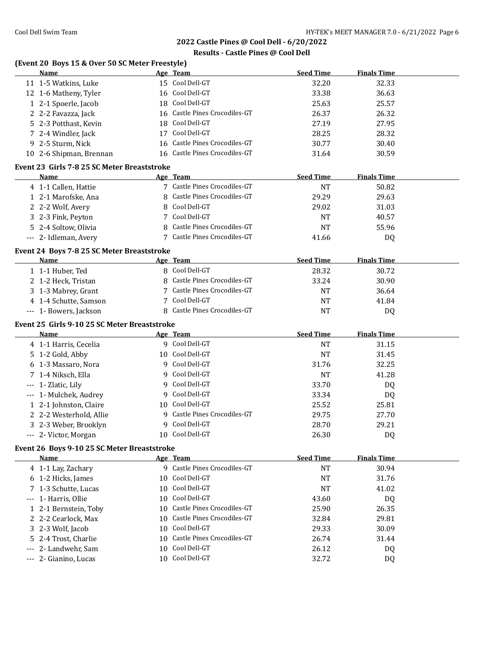# **Results - Castle Pines @ Cool Dell**

# **(Event 20 Boys 15 & Over 50 SC Meter Freestyle)**

| Name                                         |    | Age Team                      | <b>Seed Time</b> | <b>Finals Time</b> |  |
|----------------------------------------------|----|-------------------------------|------------------|--------------------|--|
| 11 1-5 Watkins, Luke                         |    | 15 Cool Dell-GT               | 32.20            | 32.33              |  |
| 12 1-6 Matheny, Tyler                        |    | 16 Cool Dell-GT               | 33.38            | 36.63              |  |
| 1 2-1 Spoerle, Jacob                         |    | 18 Cool Dell-GT               | 25.63            | 25.57              |  |
| 2 2-2 Favazza, Jack                          |    | 16 Castle Pines Crocodiles-GT | 26.37            | 26.32              |  |
| 5 2-3 Potthast, Kevin                        |    | 18 Cool Dell-GT               | 27.19            | 27.95              |  |
| 7 2-4 Windler, Jack                          |    | 17 Cool Dell-GT               | 28.25            | 28.32              |  |
| 9 2-5 Sturm, Nick                            |    | 16 Castle Pines Crocodiles-GT | 30.77            | 30.40              |  |
| 10 2-6 Shipman, Brennan                      |    | 16 Castle Pines Crocodiles-GT | 31.64            | 30.59              |  |
|                                              |    |                               |                  |                    |  |
| Event 23 Girls 7-8 25 SC Meter Breaststroke  |    |                               |                  |                    |  |
| Name                                         |    | Age Team                      | <b>Seed Time</b> | <b>Finals Time</b> |  |
| 4 1-1 Callen, Hattie                         |    | 7 Castle Pines Crocodiles-GT  | <b>NT</b>        | 50.82              |  |
| 1 2-1 Marofske, Ana                          |    | 8 Castle Pines Crocodiles-GT  | 29.29            | 29.63              |  |
| 2 2-2 Wolf, Avery                            | 8  | Cool Dell-GT                  | 29.02            | 31.03              |  |
| 3 2-3 Fink, Peyton                           |    | 7 Cool Dell-GT                | <b>NT</b>        | 40.57              |  |
| 5 2-4 Soltow, Olivia                         |    | 8 Castle Pines Crocodiles-GT  | <b>NT</b>        | 55.96              |  |
| --- 2- Idleman, Avery                        |    | 7 Castle Pines Crocodiles-GT  | 41.66            | DQ                 |  |
| Event 24 Boys 7-8 25 SC Meter Breaststroke   |    |                               |                  |                    |  |
| Name                                         |    | Age Team                      | <b>Seed Time</b> | <b>Finals Time</b> |  |
| 1 1-1 Huber, Ted                             |    | 8 Cool Dell-GT                | 28.32            | 30.72              |  |
| 2 1-2 Heck, Tristan                          |    | 8 Castle Pines Crocodiles-GT  | 33.24            | 30.90              |  |
| 3 1-3 Mabrey, Grant                          |    | 7 Castle Pines Crocodiles-GT  | <b>NT</b>        | 36.64              |  |
| 4 1-4 Schutte, Samson                        | 7  | Cool Dell-GT                  | <b>NT</b>        | 41.84              |  |
| --- 1- Bowers, Jackson                       |    | 8 Castle Pines Crocodiles-GT  | <b>NT</b>        | DQ                 |  |
|                                              |    |                               |                  |                    |  |
| Event 25 Girls 9-10 25 SC Meter Breaststroke |    |                               |                  |                    |  |
| Name                                         |    | Age Team                      | <b>Seed Time</b> | <b>Finals Time</b> |  |
| 4 1-1 Harris, Cecelia                        |    | 9 Cool Dell-GT                | <b>NT</b>        | 31.15              |  |
| 5 1-2 Gold, Abby                             |    | 10 Cool Dell-GT               | <b>NT</b>        | 31.45              |  |
|                                              |    | 9 Cool Dell-GT                |                  | 32.25              |  |
| 6 1-3 Massaro, Nora                          |    |                               | 31.76            |                    |  |
| 7 1-4 Niksch, Ella                           |    | 9 Cool Dell-GT                | <b>NT</b>        | 41.28              |  |
| --- 1- Zlatic, Lily                          |    | 9 Cool Dell-GT                | 33.70            | DQ                 |  |
| --- 1- Mulchek, Audrey                       |    | 9 Cool Dell-GT                | 33.34            | DQ                 |  |
|                                              |    | 10 Cool Dell-GT               | 25.52            | 25.81              |  |
| 1 2-1 Johnston, Claire                       |    | 9 Castle Pines Crocodiles-GT  | 29.75            | 27.70              |  |
| 2 2-2 Westerhold, Allie                      | 9  | Cool Dell-GT                  |                  |                    |  |
| 3 2-3 Weber, Brooklyn                        |    |                               | 28.70            | 29.21              |  |
| --- 2- Victor, Morgan                        |    | 10 Cool Dell-GT               | 26.30            | DQ                 |  |
| Event 26 Boys 9-10 25 SC Meter Breaststroke  |    |                               |                  |                    |  |
| Name                                         |    | Age Team                      | <b>Seed Time</b> | <b>Finals Time</b> |  |
| 4 1-1 Lay, Zachary                           |    | 9 Castle Pines Crocodiles-GT  | <b>NT</b>        | 30.94              |  |
| 6 1-2 Hicks, James                           |    | 10 Cool Dell-GT               | NT               | 31.76              |  |
| 7 1-3 Schutte, Lucas                         | 10 | Cool Dell-GT                  | <b>NT</b>        | 41.02              |  |
| --- 1- Harris, Ollie                         | 10 | Cool Dell-GT                  | 43.60            | DQ                 |  |
| 1 2-1 Bernstein, Toby                        |    | 10 Castle Pines Crocodiles-GT | 25.90            | 26.35              |  |
| 2 2-2 Cearlock, Max                          |    | 10 Castle Pines Crocodiles-GT | 32.84            | 29.81              |  |
| 3 2-3 Wolf, Jacob                            |    | 10 Cool Dell-GT               | 29.33            | 30.09              |  |
| 5 2-4 Trost, Charlie                         |    | 10 Castle Pines Crocodiles-GT | 26.74            | 31.44              |  |
| 2- Landwehr, Sam                             |    | 10 Cool Dell-GT               | 26.12            | DQ                 |  |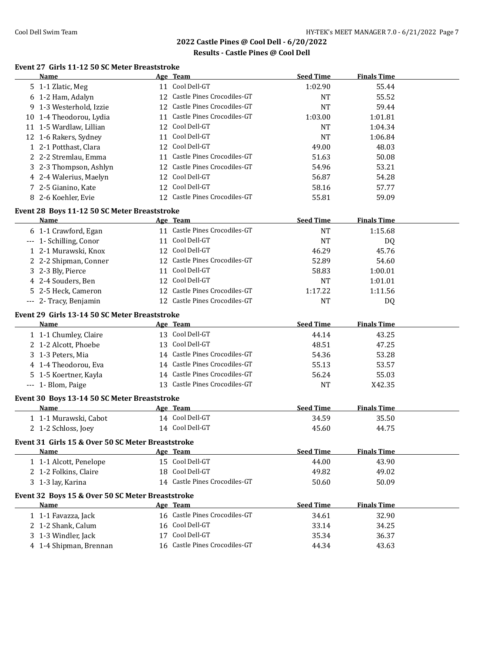### **Results - Castle Pines @ Cool Dell**

# **Event 27 Girls 11-12 50 SC Meter Breaststroke**

| Name                                              | Age Team                                         | <b>Seed Time</b> | <b>Finals Time</b> |
|---------------------------------------------------|--------------------------------------------------|------------------|--------------------|
| 5 1-1 Zlatic, Meg                                 | 11 Cool Dell-GT                                  | 1:02.90          | 55.44              |
| 6 1-2 Ham, Adalyn                                 | 12 Castle Pines Crocodiles-GT                    | <b>NT</b>        | 55.52              |
| 9 1-3 Westerhold, Izzie                           | 12 Castle Pines Crocodiles-GT                    | <b>NT</b>        | 59.44              |
| 10 1-4 Theodorou, Lydia                           | 11 Castle Pines Crocodiles-GT                    | 1:03.00          | 1:01.81            |
| 11 1-5 Wardlaw, Lillian                           | 12 Cool Dell-GT                                  | <b>NT</b>        | 1:04.34            |
| 12 1-6 Rakers, Sydney                             | 11 Cool Dell-GT                                  | <b>NT</b>        | 1:06.84            |
| 1 2-1 Potthast, Clara                             | 12 Cool Dell-GT                                  | 49.00            | 48.03              |
| 2 2-2 Stremlau, Emma                              | 11 Castle Pines Crocodiles-GT                    | 51.63            | 50.08              |
| 3 2-3 Thompson, Ashlyn                            | 12 Castle Pines Crocodiles-GT                    | 54.96            | 53.21              |
| 4 2-4 Walerius, Maelyn                            | 12 Cool Dell-GT                                  | 56.87            | 54.28              |
| 7 2-5 Gianino, Kate                               | 12 Cool Dell-GT                                  | 58.16            | 57.77              |
| 8 2-6 Koehler, Evie                               | 12 Castle Pines Crocodiles-GT                    | 55.81            | 59.09              |
| Event 28 Boys 11-12 50 SC Meter Breaststroke      |                                                  |                  |                    |
| Name                                              | Age Team                                         | <b>Seed Time</b> | <b>Finals Time</b> |
| 6 1-1 Crawford, Egan                              | 11 Castle Pines Crocodiles-GT                    | <b>NT</b>        | 1:15.68            |
| --- 1- Schilling, Conor                           | 11 Cool Dell-GT                                  | <b>NT</b>        | DQ                 |
| 1 2-1 Murawski, Knox                              | 12 Cool Dell-GT                                  | 46.29            | 45.76              |
| 2 2-2 Shipman, Conner                             | 12 Castle Pines Crocodiles-GT                    | 52.89            | 54.60              |
| 3 2-3 Bly, Pierce                                 | 11 Cool Dell-GT                                  | 58.83            | 1:00.01            |
| 4 2-4 Souders, Ben                                | 12 Cool Dell-GT                                  | <b>NT</b>        | 1:01.01            |
| 5 2-5 Heck, Cameron                               | 12 Castle Pines Crocodiles-GT                    | 1:17.22          | 1:11.56            |
| --- 2- Tracy, Benjamin                            | 12 Castle Pines Crocodiles-GT                    | <b>NT</b>        | DQ                 |
|                                                   |                                                  |                  |                    |
| Event 29 Girls 13-14 50 SC Meter Breaststroke     |                                                  |                  |                    |
| <b>Name</b>                                       | Age Team                                         | <b>Seed Time</b> | <b>Finals Time</b> |
| 1 1-1 Chumley, Claire                             | 13 Cool Dell-GT                                  | 44.14            | 43.25              |
| 2 1-2 Alcott, Phoebe                              | 13 Cool Dell-GT                                  | 48.51            | 47.25              |
| 3 1-3 Peters, Mia                                 | 14 Castle Pines Crocodiles-GT                    | 54.36            | 53.28              |
| 4 1-4 Theodorou, Eva                              | 14 Castle Pines Crocodiles-GT                    | 55.13            | 53.57              |
| 5 1-5 Koertner, Kayla                             | 14 Castle Pines Crocodiles-GT                    | 56.24            | 55.03              |
| --- 1- Blom, Paige                                | 13 Castle Pines Crocodiles-GT                    | <b>NT</b>        | X42.35             |
| Event 30 Boys 13-14 50 SC Meter Breaststroke      |                                                  |                  |                    |
| Name                                              | Age Team                                         | <b>Seed Time</b> | <b>Finals Time</b> |
| 1 1-1 Murawski, Cabot                             | 14 Cool Dell-GT                                  | 34.59            | 35.50              |
| 2 1-2 Schloss, Joey                               | 14 Cool Dell-GT                                  | 45.60            | 44.75              |
| Event 31 Girls 15 & Over 50 SC Meter Breaststroke |                                                  |                  |                    |
| Name                                              | Age Team                                         | <b>Seed Time</b> | <b>Finals Time</b> |
| 1 1-1 Alcott, Penelope                            | 15 Cool Dell-GT                                  | 44.00            | 43.90              |
| 2 1-2 Folkins, Claire                             | 18 Cool Dell-GT                                  | 49.82            | 49.02              |
| 3 1-3 lay, Karina                                 | 14 Castle Pines Crocodiles-GT                    | 50.60            | 50.09              |
|                                                   |                                                  |                  |                    |
| Event 32 Boys 15 & Over 50 SC Meter Breaststroke  |                                                  |                  |                    |
| Name                                              | Age Team                                         | <b>Seed Time</b> | <b>Finals Time</b> |
| 1 1-1 Favazza, Jack                               | 16 Castle Pines Crocodiles-GT                    | 34.61            | 32.90              |
| 2 1-2 Shank, Calum                                | 16 Cool Dell-GT                                  | 33.14            | 34.25              |
|                                                   |                                                  |                  |                    |
| 3 1-3 Windler, Jack<br>4 1-4 Shipman, Brennan     | 17 Cool Dell-GT<br>16 Castle Pines Crocodiles-GT | 35.34<br>44.34   | 36.37<br>43.63     |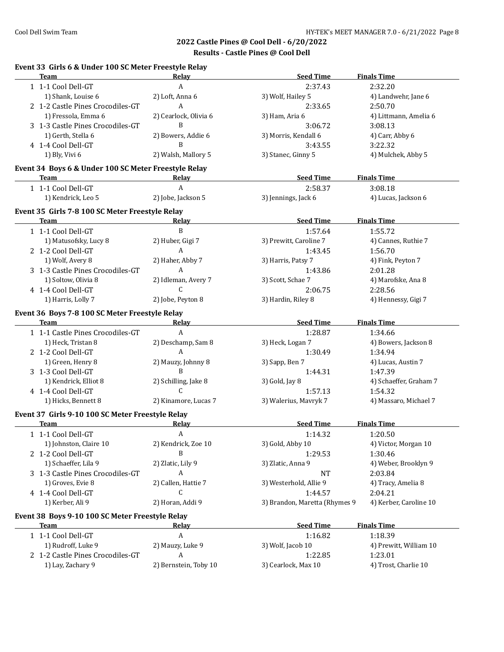# **Results - Castle Pines @ Cool Dell**

# **Event 33 Girls 6 & Under 100 SC Meter Freestyle Relay**

| <b>Team</b>                                          | Relay                 | <b>Seed Time</b>              | <b>Finals Time</b>     |
|------------------------------------------------------|-----------------------|-------------------------------|------------------------|
| 1 1-1 Cool Dell-GT                                   | $\mathbf{A}$          | 2:37.43                       | 2:32.20                |
| 1) Shank, Louise 6                                   | 2) Loft, Anna 6       | 3) Wolf, Hailey 5             | 4) Landwehr, Jane 6    |
| 2 1-2 Castle Pines Crocodiles-GT                     | $\mathbf{A}$          | 2:33.65                       | 2:50.70                |
| 1) Fressola, Emma 6                                  | 2) Cearlock, Olivia 6 | 3) Ham, Aria 6                | 4) Littmann, Amelia 6  |
| 3 1-3 Castle Pines Crocodiles-GT                     | B                     | 3:06.72                       | 3:08.13                |
| 1) Gerth, Stella 6                                   | 2) Bowers, Addie 6    | 3) Morris, Kendall 6          | 4) Carr, Abby 6        |
| 4 1-4 Cool Dell-GT                                   | B                     | 3:43.55                       | 3:22.32                |
| 1) Bly, Vivi 6                                       | 2) Walsh, Mallory 5   | 3) Stanec, Ginny 5            | 4) Mulchek, Abby 5     |
|                                                      |                       |                               |                        |
| Event 34 Boys 6 & Under 100 SC Meter Freestyle Relay |                       |                               |                        |
| <b>Team</b>                                          | Relay                 | <b>Seed Time</b>              | <b>Finals Time</b>     |
| 1 1-1 Cool Dell-GT                                   | $\mathbf{A}$          | 2:58.37                       | 3:08.18                |
| 1) Kendrick, Leo 5                                   | 2) Jobe, Jackson 5    | 3) Jennings, Jack 6           | 4) Lucas, Jackson 6    |
| Event 35 Girls 7-8 100 SC Meter Freestyle Relay      |                       |                               |                        |
| Team                                                 | Relay                 | <b>Seed Time</b>              | <b>Finals Time</b>     |
| 1 1-1 Cool Dell-GT                                   | B                     | 1:57.64                       | 1:55.72                |
| 1) Matusofsky, Lucy 8                                | 2) Huber, Gigi 7      | 3) Prewitt, Caroline 7        | 4) Cannes, Ruthie 7    |
| 2 1-2 Cool Dell-GT                                   | A                     | 1:43.45                       | 1:56.70                |
| 1) Wolf, Avery 8                                     | 2) Haher, Abby 7      | 3) Harris, Patsy 7            | 4) Fink, Peyton 7      |
| 3 1-3 Castle Pines Crocodiles-GT                     | A                     | 1:43.86                       | 2:01.28                |
| 1) Soltow, Olivia 8                                  | 2) Idleman, Avery 7   | 3) Scott, Schae 7             | 4) Marofske, Ana 8     |
| 4 1-4 Cool Dell-GT                                   | C                     | 2:06.75                       | 2:28.56                |
| 1) Harris, Lolly 7                                   | 2) Jobe, Peyton 8     | 3) Hardin, Riley 8            | 4) Hennessy, Gigi 7    |
|                                                      |                       |                               |                        |
| Event 36 Boys 7-8 100 SC Meter Freestyle Relay       |                       |                               |                        |
| <b>Team</b>                                          | Relay                 | <b>Seed Time</b>              | <b>Finals Time</b>     |
| 1 1-1 Castle Pines Crocodiles-GT                     | $\boldsymbol{A}$      | 1:28.87                       | 1:34.66                |
| 1) Heck, Tristan 8                                   | 2) Deschamp, Sam 8    | 3) Heck, Logan 7              | 4) Bowers, Jackson 8   |
| 2 1-2 Cool Dell-GT                                   | A                     | 1:30.49                       | 1:34.94                |
| 1) Green, Henry 8                                    | 2) Mauzy, Johnny 8    | 3) Sapp, Ben 7                | 4) Lucas, Austin 7     |
| 3 1-3 Cool Dell-GT                                   | B                     | 1:44.31                       | 1:47.39                |
| 1) Kendrick, Elliot 8                                | 2) Schilling, Jake 8  | 3) Gold, Jay 8                | 4) Schaeffer, Graham 7 |
| 4 1-4 Cool Dell-GT                                   | C.                    | 1:57.13                       | 1:54.32                |
| 1) Hicks, Bennett 8                                  | 2) Kinamore, Lucas 7  | 3) Walerius, Mavryk 7         | 4) Massaro, Michael 7  |
| Event 37 Girls 9-10 100 SC Meter Freestyle Relay     |                       |                               |                        |
| <b>Team</b>                                          | Relay                 | <b>Seed Time</b>              | <b>Finals Time</b>     |
| 1 1-1 Cool Dell-GT                                   | A                     | 1:14.32                       | 1:20.50                |
| 1) Johnston, Claire 10                               | 2) Kendrick, Zoe 10   | 3) Gold, Abby 10              | 4) Victor, Morgan 10   |
|                                                      | B                     |                               |                        |
| 2 1-2 Cool Dell-GT                                   |                       | 1:29.53                       | 1:30.46                |
| 1) Schaeffer, Lila 9                                 | 2) Zlatic, Lily 9     | 3) Zlatic, Anna 9             | 4) Weber, Brooklyn 9   |
| 3 1-3 Castle Pines Crocodiles-GT                     | A                     | NT                            | 2:03.84                |
| 1) Groves, Evie 8                                    | 2) Callen, Hattie 7   | 3) Westerhold, Allie 9        | 4) Tracy, Amelia 8     |
| 4 1-4 Cool Dell-GT                                   | C                     | 1:44.57                       | 2:04.21                |
| 1) Kerber, Ali 9                                     | 2) Horan, Addi 9      | 3) Brandon, Maretta (Rhymes 9 | 4) Kerber, Caroline 10 |
| Event 38 Boys 9-10 100 SC Meter Freestyle Relay      |                       |                               |                        |
| <b>Team</b>                                          | <u>Relav</u>          | <b>Seed Time</b>              | <b>Finals Time</b>     |
| 1 1-1 Cool Dell-GT                                   | $\boldsymbol{A}$      | 1:16.82                       | 1:18.39                |
| 1) Rudroff, Luke 9                                   | 2) Mauzy, Luke 9      | 3) Wolf, Jacob 10             | 4) Prewitt, William 10 |
| 2 1-2 Castle Pines Crocodiles-GT                     | A                     | 1:22.85                       | 1:23.01                |
| 1) Lay, Zachary 9                                    | 2) Bernstein, Toby 10 | 3) Cearlock, Max 10           | 4) Trost, Charlie 10   |
|                                                      |                       |                               |                        |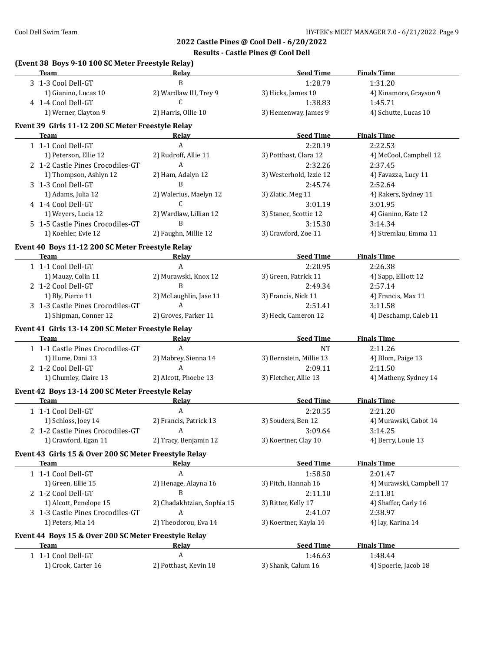**Results - Castle Pines @ Cool Dell**

| Team                                                  | Relay                      | <b>Seed Time</b>        | <b>Finals Time</b>       |
|-------------------------------------------------------|----------------------------|-------------------------|--------------------------|
| 3 1-3 Cool Dell-GT                                    | $\, {\bf B}$               | 1:28.79                 | 1:31.20                  |
| 1) Gianino, Lucas 10                                  | 2) Wardlaw III, Trey 9     | 3) Hicks, James 10      | 4) Kinamore, Grayson 9   |
| 4 1-4 Cool Dell-GT                                    | C                          | 1:38.83                 | 1:45.71                  |
| 1) Werner, Clayton 9                                  | 2) Harris, Ollie 10        | 3) Hemenway, James 9    | 4) Schutte, Lucas 10     |
| Event 39 Girls 11-12 200 SC Meter Freestyle Relay     |                            |                         |                          |
| Team                                                  | Relay                      | <b>Seed Time</b>        | <b>Finals Time</b>       |
| 1 1-1 Cool Dell-GT                                    | A                          | 2:20.19                 | 2:22.53                  |
| 1) Peterson, Ellie 12                                 | 2) Rudroff, Allie 11       | 3) Potthast, Clara 12   | 4) McCool, Campbell 12   |
| 2 1-2 Castle Pines Crocodiles-GT                      | $\mathbf{A}$               | 2:32.26                 | 2:37.45                  |
| 1) Thompson, Ashlyn 12                                | 2) Ham, Adalyn 12          | 3) Westerhold, Izzie 12 | 4) Favazza, Lucy 11      |
| 3 1-3 Cool Dell-GT                                    | B                          | 2:45.74                 | 2:52.64                  |
| 1) Adams, Julia 12                                    | 2) Walerius, Maelyn 12     | 3) Zlatic, Meg 11       | 4) Rakers, Sydney 11     |
| 4 1-4 Cool Dell-GT                                    | C.                         | 3:01.19                 | 3:01.95                  |
| 1) Weyers, Lucia 12                                   | 2) Wardlaw, Lillian 12     | 3) Stanec, Scottie 12   | 4) Gianino, Kate 12      |
| 5 1-5 Castle Pines Crocodiles-GT                      | B                          | 3:15.30                 | 3:14.34                  |
| 1) Koehler, Evie 12                                   | 2) Faughn, Millie 12       | 3) Crawford, Zoe 11     | 4) Stremlau, Emma 11     |
| Event 40 Boys 11-12 200 SC Meter Freestyle Relay      |                            |                         |                          |
| Team                                                  | Relay                      | <b>Seed Time</b>        | <b>Finals Time</b>       |
| 1 1-1 Cool Dell-GT                                    | $\mathbf{A}$               | 2:20.95                 | 2:26.38                  |
| 1) Mauzy, Colin 11                                    | 2) Murawski, Knox 12       | 3) Green, Patrick 11    | 4) Sapp, Elliott 12      |
| 2 1-2 Cool Dell-GT                                    | B                          | 2:49.34                 | 2:57.14                  |
| 1) Bly, Pierce 11                                     | 2) McLaughlin, Jase 11     | 3) Francis, Nick 11     | 4) Francis, Max 11       |
| 3 1-3 Castle Pines Crocodiles-GT                      | A                          | 2:51.41                 | 3:11.58                  |
| 1) Shipman, Conner 12                                 | 2) Groves, Parker 11       | 3) Heck, Cameron 12     | 4) Deschamp, Caleb 11    |
| Event 41 Girls 13-14 200 SC Meter Freestyle Relay     |                            |                         |                          |
| Team                                                  | Relay                      | <b>Seed Time</b>        | <b>Finals Time</b>       |
| 1 1-1 Castle Pines Crocodiles-GT                      | A                          | <b>NT</b>               | 2:11.26                  |
| 1) Hume, Dani 13                                      | 2) Mabrey, Sienna 14       | 3) Bernstein, Millie 13 | 4) Blom, Paige 13        |
| 2 1-2 Cool Dell-GT                                    | A                          | 2:09.11                 | 2:11.50                  |
| 1) Chumley, Claire 13                                 | 2) Alcott, Phoebe 13       | 3) Fletcher, Allie 13   | 4) Matheny, Sydney 14    |
| Event 42 Boys 13-14 200 SC Meter Freestyle Relay      |                            |                         |                          |
| <b>Team</b>                                           | Relay                      | <b>Seed Time</b>        | <b>Finals Time</b>       |
| 1 1-1 Cool Dell-GT                                    | A                          | 2:20.55                 | 2:21.20                  |
| 1) Schloss, Joey 14                                   | 2) Francis, Patrick 13     | 3) Souders, Ben 12      | 4) Murawski, Cabot 14    |
| 2 1-2 Castle Pines Crocodiles-GT A                    |                            | 3:09.64                 | 3:14.25                  |
| 1) Crawford, Egan 11                                  | 2) Tracy, Benjamin 12      | 3) Koertner, Clay 10    | 4) Berry, Louie 13       |
| Event 43 Girls 15 & Over 200 SC Meter Freestyle Relay |                            |                         |                          |
| Team                                                  | <b>Relay</b>               | <b>Seed Time</b>        | <b>Finals Time</b>       |
| 1 1-1 Cool Dell-GT                                    | $\boldsymbol{\mathsf{A}}$  | 1:58.50                 | 2:01.47                  |
| 1) Green, Ellie 15                                    | 2) Henage, Alayna 16       | 3) Fitch, Hannah 16     | 4) Murawski, Campbell 17 |
| 2 1-2 Cool Dell-GT                                    | B                          | 2:11.10                 | 2:11.81                  |
| 1) Alcott, Penelope 15                                | 2) Chadakhtzian, Sophia 15 | 3) Ritter, Kelly 17     | 4) Shaffer, Carly 16     |
| 3 1-3 Castle Pines Crocodiles-GT                      | A                          | 2:41.07                 | 2:38.97                  |
| 1) Peters, Mia 14                                     | 2) Theodorou, Eva 14       | 3) Koertner, Kayla 14   | 4) lay, Karina 14        |
|                                                       |                            |                         |                          |
| Event 44 Boys 15 & Over 200 SC Meter Freestyle Relay  |                            | <b>Seed Time</b>        | <b>Finals Time</b>       |
| Team                                                  | <b>Relay</b><br>A          |                         |                          |
| 1 1-1 Cool Dell-GT                                    |                            | 1:46.63                 | 1:48.44                  |
| 1) Crook, Carter 16                                   | 2) Potthast, Kevin 18      | 3) Shank, Calum 16      | 4) Spoerle, Jacob 18     |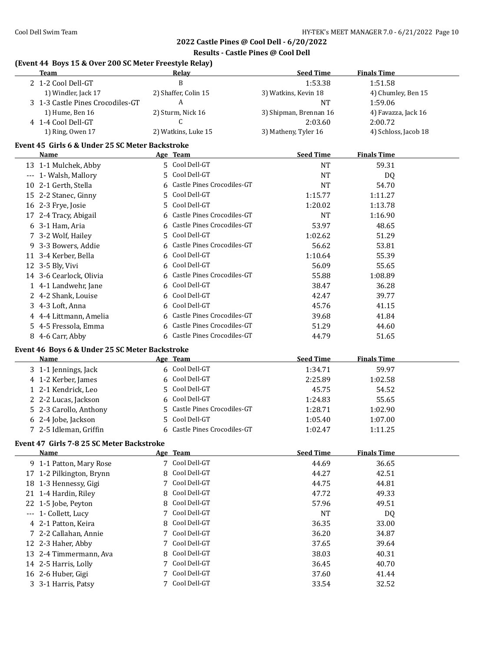### **Results - Castle Pines @ Cool Dell**

| (Event 44 Boys 15 & Over 200 SC Meter Freestyle Relay)<br><b>Team</b> |    | Relay                        | <b>Seed Time</b>       | <b>Finals Time</b>   |
|-----------------------------------------------------------------------|----|------------------------------|------------------------|----------------------|
| 2 1-2 Cool Dell-GT                                                    |    | B                            | 1:53.38                | 1:51.58              |
| 1) Windler, Jack 17                                                   |    | 2) Shaffer, Colin 15         | 3) Watkins, Kevin 18   | 4) Chumley, Ben 15   |
| 3 1-3 Castle Pines Crocodiles-GT                                      |    | A                            | <b>NT</b>              | 1:59.06              |
| 1) Hume, Ben 16                                                       |    | 2) Sturm, Nick 16            | 3) Shipman, Brennan 16 | 4) Favazza, Jack 16  |
| 4 1-4 Cool Dell-GT                                                    |    | C                            | 2:03.60                | 2:00.72              |
| 1) Ring, Owen 17                                                      |    | 2) Watkins, Luke 15          | 3) Matheny, Tyler 16   | 4) Schloss, Jacob 18 |
| Event 45 Girls 6 & Under 25 SC Meter Backstroke                       |    |                              |                        |                      |
| Name                                                                  |    | Age Team                     | <b>Seed Time</b>       | <b>Finals Time</b>   |
| 13 1-1 Mulchek, Abby                                                  |    | 5 Cool Dell-GT               | <b>NT</b>              | 59.31                |
| --- 1- Walsh, Mallory                                                 | 5. | Cool Dell-GT                 | <b>NT</b>              | DQ                   |
| 10 2-1 Gerth, Stella                                                  | 6  | Castle Pines Crocodiles-GT   | <b>NT</b>              | 54.70                |
| 15 2-2 Stanec, Ginny                                                  | 5  | Cool Dell-GT                 | 1:15.77                | 1:11.27              |
| 16 2-3 Frye, Josie                                                    | 5. | Cool Dell-GT                 | 1:20.02                | 1:13.78              |
| 17 2-4 Tracy, Abigail                                                 | 6  | Castle Pines Crocodiles-GT   | <b>NT</b>              | 1:16.90              |
| 6 3-1 Ham, Aria                                                       |    | 6 Castle Pines Crocodiles-GT | 53.97                  | 48.65                |
| 7 3-2 Wolf, Hailey                                                    | 5  | Cool Dell-GT                 | 1:02.62                | 51.29                |
| 9 3-3 Bowers, Addie                                                   |    | 6 Castle Pines Crocodiles-GT | 56.62                  | 53.81                |
| 11 3-4 Kerber, Bella                                                  |    | 6 Cool Dell-GT               | 1:10.64                | 55.39                |
| 12 3-5 Bly, Vivi                                                      |    | 6 Cool Dell-GT               | 56.09                  | 55.65                |
| 14 3-6 Cearlock, Olivia                                               | 6  | Castle Pines Crocodiles-GT   | 55.88                  | 1:08.89              |
| 1 4-1 Landwehr, Jane                                                  | 6  | Cool Dell-GT                 | 38.47                  | 36.28                |
| 2 4-2 Shank, Louise                                                   | 6  | Cool Dell-GT                 | 42.47                  | 39.77                |
|                                                                       | 6  | Cool Dell-GT                 |                        |                      |
| 3 4-3 Loft, Anna                                                      |    | 6 Castle Pines Crocodiles-GT | 45.76                  | 41.15                |
| 4 4-4 Littmann, Amelia                                                |    | 6 Castle Pines Crocodiles-GT | 39.68                  | 41.84                |
| 5 4-5 Fressola, Emma                                                  |    | 6 Castle Pines Crocodiles-GT | 51.29                  | 44.60                |
| 8 4-6 Carr, Abby                                                      |    |                              | 44.79                  | 51.65                |
| Event 46 Boys 6 & Under 25 SC Meter Backstroke                        |    |                              |                        |                      |
| Name                                                                  |    | Age Team                     | <b>Seed Time</b>       | <b>Finals Time</b>   |
| 3 1-1 Jennings, Jack                                                  |    | 6 Cool Dell-GT               | 1:34.71                | 59.97                |
| 4 1-2 Kerber, James                                                   |    | 6 Cool Dell-GT               | 2:25.89                | 1:02.58              |
| 1 2-1 Kendrick, Leo                                                   | 5. | Cool Dell-GT                 | 45.75                  | 54.52                |
| 2 2-2 Lucas, Jackson                                                  |    | 6 Cool Dell-GT               | 1:24.83                | 55.65                |
| 5 2-3 Carollo, Anthony                                                |    | 5 Castle Pines Crocodiles-GT | 1:28.71                | 1:02.90              |
| 6 2-4 Jobe, Jackson                                                   |    | 5 Cool Dell-GT               | 1:05.40                | 1:07.00              |
| 7 2-5 Idleman, Griffin                                                |    | 6 Castle Pines Crocodiles-GT | 1:02.47                | 1:11.25              |
| Event 47 Girls 7-8 25 SC Meter Backstroke                             |    |                              |                        |                      |
| Name                                                                  |    | Age Team                     | <b>Seed Time</b>       | <b>Finals Time</b>   |
| 9 1-1 Patton, Mary Rose                                               |    | 7 Cool Dell-GT               | 44.69                  | 36.65                |
| 17 1-2 Pilkington, Brynn                                              | 8  | Cool Dell-GT                 | 44.27                  | 42.51                |
| 18 1-3 Hennessy, Gigi                                                 | 7  | Cool Dell-GT                 | 44.75                  | 44.81                |
| 21 1-4 Hardin, Riley                                                  | 8  | Cool Dell-GT                 | 47.72                  | 49.33                |
| 22 1-5 Jobe, Peyton                                                   | 8  | Cool Dell-GT                 | 57.96                  | 49.51                |
| --- 1- Collett, Lucy                                                  | 7  | Cool Dell-GT                 | <b>NT</b>              | DQ                   |
| 4 2-1 Patton, Keira                                                   | 8  | Cool Dell-GT                 | 36.35                  | 33.00                |
| 7 2-2 Callahan, Annie                                                 | 7  | Cool Dell-GT                 | 36.20                  | 34.87                |
| 12 2-3 Haher, Abby                                                    | 7  | Cool Dell-GT                 | 37.65                  | 39.64                |
| 13 2-4 Timmermann, Ava                                                | 8  | Cool Dell-GT                 | 38.03                  | 40.31                |
| 14 2-5 Harris, Lolly                                                  |    | Cool Dell-GT                 | 36.45                  | 40.70                |
| 16 2-6 Huber, Gigi                                                    |    | Cool Dell-GT                 | 37.60                  | 41.44                |
| 3 3-1 Harris, Patsy                                                   |    | 7 Cool Dell-GT               | 33.54                  | 32.52                |
|                                                                       |    |                              |                        |                      |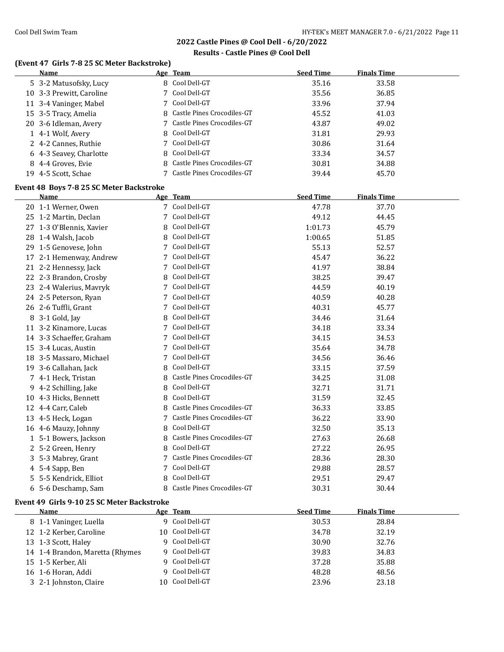### **Results - Castle Pines @ Cool Dell**

# **(Event 47 Girls 7-8 25 SC Meter Backstroke)**

|    | <b>Name</b>              | Age Team                     | <b>Seed Time</b> | <b>Finals Time</b> |
|----|--------------------------|------------------------------|------------------|--------------------|
|    | 5 3-2 Matusofsky, Lucy   | 8 Cool Dell-GT               | 35.16            | 33.58              |
|    | 10 3-3 Prewitt, Caroline | 7 Cool Dell-GT               | 35.56            | 36.85              |
|    | 11 3-4 Vaninger, Mabel   | 7 Cool Dell-GT               | 33.96            | 37.94              |
|    | 15 3-5 Tracy, Amelia     | 8 Castle Pines Crocodiles-GT | 45.52            | 41.03              |
|    | 20 3-6 Idleman, Avery    | 7 Castle Pines Crocodiles-GT | 43.87            | 49.02              |
|    | 1 4-1 Wolf, Avery        | 8 Cool Dell-GT               | 31.81            | 29.93              |
|    | 2 4-2 Cannes, Ruthie     | 7 Cool Dell-GT               | 30.86            | 31.64              |
|    | 6 4-3 Seavey, Charlotte  | 8 Cool Dell-GT               | 33.34            | 34.57              |
|    | 8 4-4 Groves, Evie       | 8 Castle Pines Crocodiles-GT | 30.81            | 34.88              |
| 19 | 4-5 Scott. Schae         | 7 Castle Pines Crocodiles-GT | 39.44            | 45.70              |

### **Event 48 Boys 7-8 25 SC Meter Backstroke**

|    | <b>Name</b>              |   | Age Team                   | <b>Seed Time</b> | <b>Finals Time</b> |  |
|----|--------------------------|---|----------------------------|------------------|--------------------|--|
|    | 20 1-1 Werner, Owen      |   | Cool Dell-GT               | 47.78            | 37.70              |  |
|    | 25 1-2 Martin, Declan    | 7 | Cool Dell-GT               | 49.12            | 44.45              |  |
|    | 27 1-3 O'Blennis, Xavier | 8 | Cool Dell-GT               | 1:01.73          | 45.79              |  |
| 28 | 1-4 Walsh, Jacob         | 8 | Cool Dell-GT               | 1:00.65          | 51.85              |  |
|    | 29 1-5 Genovese, John    |   | Cool Dell-GT               | 55.13            | 52.57              |  |
| 17 | 2-1 Hemenway, Andrew     |   | Cool Dell-GT               | 45.47            | 36.22              |  |
|    | 21 2-2 Hennessy, Jack    |   | Cool Dell-GT               | 41.97            | 38.84              |  |
| 22 | 2-3 Brandon, Crosby      | 8 | Cool Dell-GT               | 38.25            | 39.47              |  |
|    | 23 2-4 Walerius, Mavryk  |   | Cool Dell-GT               | 44.59            | 40.19              |  |
|    | 24 2-5 Peterson, Ryan    |   | Cool Dell-GT               | 40.59            | 40.28              |  |
|    | 26 2-6 Tuffli, Grant     | 7 | Cool Dell-GT               | 40.31            | 45.77              |  |
| 8  | 3-1 Gold, Jay            | 8 | Cool Dell-GT               | 34.46            | 31.64              |  |
|    | 11 3-2 Kinamore, Lucas   | 7 | Cool Dell-GT               | 34.18            | 33.34              |  |
|    | 14 3-3 Schaeffer, Graham |   | Cool Dell-GT               | 34.15            | 34.53              |  |
| 15 | 3-4 Lucas, Austin        | 7 | Cool Dell-GT               | 35.64            | 34.78              |  |
| 18 | 3-5 Massaro, Michael     |   | Cool Dell-GT               | 34.56            | 36.46              |  |
| 19 | 3-6 Callahan, Jack       | 8 | Cool Dell-GT               | 33.15            | 37.59              |  |
|    | 7 4-1 Heck, Tristan      | 8 | Castle Pines Crocodiles-GT | 34.25            | 31.08              |  |
|    | 9 4-2 Schilling, Jake    | 8 | Cool Dell-GT               | 32.71            | 31.71              |  |
|    | 10 4-3 Hicks, Bennett    | 8 | Cool Dell-GT               | 31.59            | 32.45              |  |
|    | 12 4-4 Carr, Caleb       | 8 | Castle Pines Crocodiles-GT | 36.33            | 33.85              |  |
| 13 | 4-5 Heck, Logan          |   | Castle Pines Crocodiles-GT | 36.22            | 33.90              |  |
|    | 16 4-6 Mauzy, Johnny     | 8 | Cool Dell-GT               | 32.50            | 35.13              |  |
|    | 1 5-1 Bowers, Jackson    | 8 | Castle Pines Crocodiles-GT | 27.63            | 26.68              |  |
|    | 2 5-2 Green, Henry       | 8 | Cool Dell-GT               | 27.22            | 26.95              |  |
| 3  | 5-3 Mabrey, Grant        |   | Castle Pines Crocodiles-GT | 28.36            | 28.30              |  |
|    | 4 5-4 Sapp, Ben          | 7 | Cool Dell-GT               | 29.88            | 28.57              |  |
| 5. | 5-5 Kendrick, Elliot     | 8 | Cool Dell-GT               | 29.51            | 29.47              |  |
|    | 6 5-6 Deschamp, Sam      | 8 | Castle Pines Crocodiles-GT | 30.31            | 30.44              |  |
|    |                          |   |                            |                  |                    |  |

### **Event 49 Girls 9-10 25 SC Meter Backstroke**

| <b>Name</b>                     | Age Team        | <b>Seed Time</b> | <b>Finals Time</b> |  |
|---------------------------------|-----------------|------------------|--------------------|--|
| 8 1-1 Vaninger, Luella          | 9 Cool Dell-GT  | 30.53            | 28.84              |  |
| 12 1-2 Kerber, Caroline         | 10 Cool Dell-GT | 34.78            | 32.19              |  |
| 13 1-3 Scott, Haley             | 9 Cool Dell-GT  | 30.90            | 32.76              |  |
| 14 1-4 Brandon, Maretta (Rhymes | 9 Cool Dell-GT  | 39.83            | 34.83              |  |
| 15 1-5 Kerber, Ali              | 9 Cool Dell-GT  | 37.28            | 35.88              |  |
| 16 1-6 Horan, Addi              | 9 Cool Dell-GT  | 48.28            | 48.56              |  |
| 3 2-1 Johnston, Claire          | 10 Cool Dell-GT | 23.96            | 23.18              |  |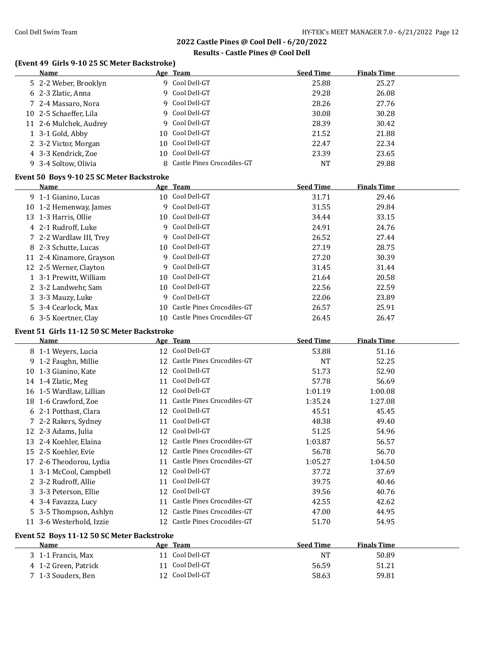### **Results - Castle Pines @ Cool Dell**

# **(Event 49 Girls 9-10 25 SC Meter Backstroke)**

| Name                                        |    | Age Team                         | <b>Seed Time</b>          | <b>Finals Time</b> |  |
|---------------------------------------------|----|----------------------------------|---------------------------|--------------------|--|
| 5 2-2 Weber, Brooklyn                       |    | 9 Cool Dell-GT                   | 25.88                     | 25.27              |  |
| 6 2-3 Zlatic, Anna                          |    | 9 Cool Dell-GT                   | 29.28                     | 26.08              |  |
| 7 2-4 Massaro, Nora                         |    | 9 Cool Dell-GT                   | 28.26                     | 27.76              |  |
| 10 2-5 Schaeffer, Lila                      |    | 9 Cool Dell-GT                   | 30.08                     | 30.28              |  |
| 11 2-6 Mulchek, Audrey                      |    | 9 Cool Dell-GT                   | 28.39                     | 30.42              |  |
| 1 3-1 Gold, Abby                            |    | 10 Cool Dell-GT                  | 21.52                     | 21.88              |  |
| 2 3-2 Victor, Morgan                        |    | 10 Cool Dell-GT                  | 22.47                     | 22.34              |  |
| 4 3-3 Kendrick, Zoe                         |    | 10 Cool Dell-GT                  | 23.39                     | 23.65              |  |
| 9 3-4 Soltow, Olivia                        |    | 8 Castle Pines Crocodiles-GT     | <b>NT</b>                 | 29.88              |  |
|                                             |    |                                  |                           |                    |  |
| Event 50 Boys 9-10 25 SC Meter Backstroke   |    |                                  |                           |                    |  |
| <b>Name</b>                                 |    | Age Team<br>10 Cool Dell-GT      | <b>Seed Time</b><br>31.71 | <b>Finals Time</b> |  |
| 9 1-1 Gianino, Lucas                        |    | 9 Cool Dell-GT                   |                           | 29.46              |  |
| 10 1-2 Hemenway, James                      |    | 10 Cool Dell-GT                  | 31.55                     | 29.84              |  |
| 13 1-3 Harris, Ollie                        |    |                                  | 34.44                     | 33.15              |  |
| 4 2-1 Rudroff, Luke                         |    | 9 Cool Dell-GT<br>9 Cool Dell-GT | 24.91                     | 24.76              |  |
| 7 2-2 Wardlaw III, Trey                     |    |                                  | 26.52                     | 27.44              |  |
| 8 2-3 Schutte, Lucas                        |    | 10 Cool Dell-GT                  | 27.19                     | 28.75              |  |
| 11 2-4 Kinamore, Grayson                    |    | 9 Cool Dell-GT                   | 27.20                     | 30.39              |  |
| 12 2-5 Werner, Clayton                      |    | 9 Cool Dell-GT                   | 31.45                     | 31.44              |  |
| 1 3-1 Prewitt, William                      |    | 10 Cool Dell-GT                  | 21.64                     | 20.58              |  |
| 2 3-2 Landwehr, Sam                         |    | 10 Cool Dell-GT                  | 22.56                     | 22.59              |  |
| 3 3-3 Mauzy, Luke                           |    | 9 Cool Dell-GT                   | 22.06                     | 23.89              |  |
| 5 3-4 Cearlock, Max                         |    | 10 Castle Pines Crocodiles-GT    | 26.57                     | 25.91              |  |
| 6 3-5 Koertner, Clay                        |    | 10 Castle Pines Crocodiles-GT    | 26.45                     | 26.47              |  |
| Event 51 Girls 11-12 50 SC Meter Backstroke |    |                                  |                           |                    |  |
| Name                                        |    | Age Team                         | <b>Seed Time</b>          | <b>Finals Time</b> |  |
| 8 1-1 Weyers, Lucia                         |    | 12 Cool Dell-GT                  | 53.88                     | 51.16              |  |
| 9 1-2 Faughn, Millie                        |    | 12 Castle Pines Crocodiles-GT    | <b>NT</b>                 | 52.25              |  |
| 10 1-3 Gianino, Kate                        |    | 12 Cool Dell-GT                  | 51.73                     | 52.90              |  |
| 14 1-4 Zlatic, Meg                          |    | 11 Cool Dell-GT                  | 57.78                     | 56.69              |  |
| 16 1-5 Wardlaw, Lillian                     |    | 12 Cool Dell-GT                  | 1:01.19                   | 1:00.08            |  |
| 18 1-6 Crawford, Zoe                        |    | 11 Castle Pines Crocodiles-GT    | 1:35.24                   | 1:27.08            |  |
| 6 2-1 Potthast, Clara                       |    | 12 Cool Dell-GT                  | 45.51                     | 45.45              |  |
| 7 2-2 Rakers, Sydney                        |    | 11 Cool Dell-GT                  | 48.38                     | 49.40              |  |
| 12 2-3 Adams, Julia                         |    | 12 Cool Dell-GT                  | 51.25                     | 54.96              |  |
| 13 2-4 Koehler, Elaina                      |    | 12 Castle Pines Crocodiles-GT    | 1:03.87                   | 56.57              |  |
| 15 2-5 Koehler, Evie                        |    | 12 Castle Pines Crocodiles-GT    | 56.78                     | 56.70              |  |
| 17 2-6 Theodorou, Lydia                     | 11 | Castle Pines Crocodiles-GT       | 1:05.27                   | 1:04.50            |  |
| 1 3-1 McCool, Campbell                      |    | 12 Cool Dell-GT                  | 37.72                     | 37.69              |  |
| 2 3-2 Rudroff, Allie                        |    | 11 Cool Dell-GT                  | 39.75                     | 40.46              |  |
| 3 3-3 Peterson, Ellie                       |    | 12 Cool Dell-GT                  | 39.56                     | 40.76              |  |
| 4 3-4 Favazza, Lucy                         |    | 11 Castle Pines Crocodiles-GT    | 42.55                     | 42.62              |  |
| 5 3-5 Thompson, Ashlyn                      |    | 12 Castle Pines Crocodiles-GT    | 47.00                     | 44.95              |  |
| 11 3-6 Westerhold, Izzie                    |    | 12 Castle Pines Crocodiles-GT    | 51.70                     | 54.95              |  |
| Event 52 Boys 11-12 50 SC Meter Backstroke  |    |                                  |                           |                    |  |
| Name                                        |    | Age Team                         | <b>Seed Time</b>          | <b>Finals Time</b> |  |
| 3 1-1 Francis, Max                          |    | 11 Cool Dell-GT                  | <b>NT</b>                 | 50.89              |  |
| 4 1-2 Green, Patrick                        | 11 | Cool Dell-GT                     | 56.59                     | 51.21              |  |
| 7 1-3 Souders, Ben                          |    | 12 Cool Dell-GT                  | 58.63                     | 59.81              |  |
|                                             |    |                                  |                           |                    |  |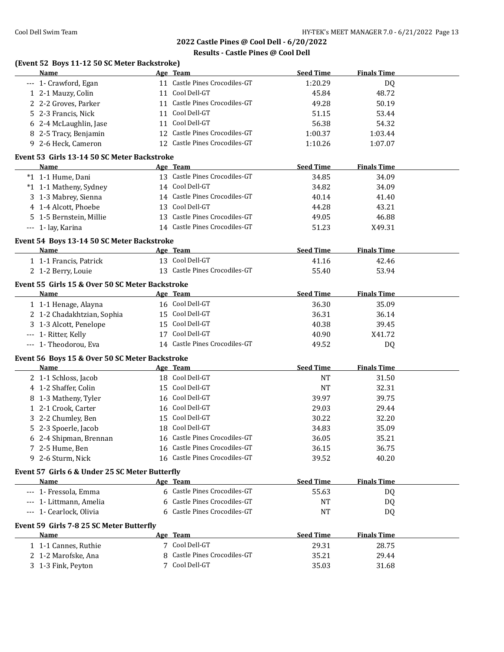### **Results - Castle Pines @ Cool Dell**

| (Event 52 Boys 11-12 50 SC Meter Backstroke)<br>Name   | Age Team                      | <b>Seed Time</b>                         | <b>Finals Time</b> |
|--------------------------------------------------------|-------------------------------|------------------------------------------|--------------------|
| --- 1- Crawford, Egan                                  |                               | 11 Castle Pines Crocodiles-GT<br>1:20.29 | DQ                 |
| 1 2-1 Mauzy, Colin                                     | 11 Cool Dell-GT               | 45.84                                    | 48.72              |
| 2 2-2 Groves, Parker                                   |                               | 11 Castle Pines Crocodiles-GT<br>49.28   | 50.19              |
| 5 2-3 Francis, Nick                                    | 11 Cool Dell-GT               | 51.15                                    | 53.44              |
| 6 2-4 McLaughlin, Jase                                 | 11 Cool Dell-GT               | 56.38                                    | 54.32              |
| 8 2-5 Tracy, Benjamin                                  |                               | 12 Castle Pines Crocodiles-GT<br>1:00.37 | 1:03.44            |
| 9 2-6 Heck, Cameron                                    |                               | 12 Castle Pines Crocodiles-GT<br>1:10.26 | 1:07.07            |
| Event 53 Girls 13-14 50 SC Meter Backstroke            |                               |                                          |                    |
| Name                                                   | Age Team                      | <b>Seed Time</b>                         | <b>Finals Time</b> |
| *1 1-1 Hume, Dani                                      |                               | 13 Castle Pines Crocodiles-GT<br>34.85   | 34.09              |
| *1 1-1 Matheny, Sydney                                 | 14 Cool Dell-GT               | 34.82                                    | 34.09              |
| 3 1-3 Mabrey, Sienna                                   | 14 Castle Pines Crocodiles-GT | 40.14                                    | 41.40              |
| 4 1-4 Alcott, Phoebe                                   | 13 Cool Dell-GT               | 44.28                                    | 43.21              |
| 5 1-5 Bernstein, Millie                                | 13 Castle Pines Crocodiles-GT | 49.05                                    | 46.88              |
| --- 1- lay, Karina                                     | 14 Castle Pines Crocodiles-GT | 51.23                                    | X49.31             |
|                                                        |                               |                                          |                    |
| Event 54 Boys 13-14 50 SC Meter Backstroke             |                               |                                          |                    |
| Name                                                   | Age Team                      | <b>Seed Time</b>                         | <b>Finals Time</b> |
| 1 1-1 Francis, Patrick                                 | 13 Cool Dell-GT               | 41.16                                    | 42.46              |
| 2 1-2 Berry, Louie                                     |                               | 13 Castle Pines Crocodiles-GT<br>55.40   | 53.94              |
| Event 55 Girls 15 & Over 50 SC Meter Backstroke        |                               |                                          |                    |
| Name                                                   | Age Team                      | <b>Seed Time</b>                         | <b>Finals Time</b> |
| 1 1-1 Henage, Alayna                                   | 16 Cool Dell-GT               | 36.30                                    | 35.09              |
| 2 1-2 Chadakhtzian, Sophia                             | 15 Cool Dell-GT               | 36.31                                    | 36.14              |
| 3 1-3 Alcott, Penelope                                 | 15 Cool Dell-GT               | 40.38                                    | 39.45              |
| --- 1- Ritter, Kelly                                   | 17 Cool Dell-GT               | 40.90                                    | X41.72             |
| --- 1- Theodorou, Eva                                  |                               | 14 Castle Pines Crocodiles-GT<br>49.52   | DQ                 |
| Event 56 Boys 15 & Over 50 SC Meter Backstroke         |                               |                                          |                    |
| <b>Name</b>                                            | Age Team                      | <b>Seed Time</b>                         | <b>Finals Time</b> |
| 2 1-1 Schloss, Jacob                                   | 18 Cool Dell-GT               | <b>NT</b>                                | 31.50              |
| 4 1-2 Shaffer, Colin                                   | 15 Cool Dell-GT               | <b>NT</b>                                | 32.31              |
| 8 1-3 Matheny, Tyler                                   | 16 Cool Dell-GT               | 39.97                                    | 39.75              |
| 1 2-1 Crook, Carter                                    | 16 Cool Dell-GT               | 29.03                                    | 29.44              |
| 3 2-2 Chumley, Ben                                     | 15 Cool Dell-GT               | 30.22                                    | 32.20              |
| 5 2-3 Spoerle, Jacob                                   | 18 Cool Dell-GT               | 34.83                                    | 35.09              |
| 6 2-4 Shipman, Brennan                                 |                               | 16 Castle Pines Crocodiles-GT<br>36.05   | 35.21              |
| 7 2-5 Hume, Ben                                        |                               | 16 Castle Pines Crocodiles-GT<br>36.15   | 36.75              |
| 9 2-6 Sturm, Nick                                      |                               | 16 Castle Pines Crocodiles-GT<br>39.52   | 40.20              |
|                                                        |                               |                                          |                    |
| Event 57 Girls 6 & Under 25 SC Meter Butterfly<br>Name | Age Team                      | <b>Seed Time</b>                         | <b>Finals Time</b> |
|                                                        |                               | 6 Castle Pines Crocodiles-GT             |                    |
| --- 1- Fressola, Emma                                  |                               | 55.63                                    | DQ                 |
| --- 1- Littmann, Amelia                                | 6                             | Castle Pines Crocodiles-GT<br>NT         | DQ                 |
| --- 1- Cearlock, Olivia                                | 6                             | Castle Pines Crocodiles-GT<br><b>NT</b>  | DQ                 |
| Event 59 Girls 7-8 25 SC Meter Butterfly               |                               |                                          |                    |
| Name                                                   | Age Team                      | <b>Seed Time</b>                         | <b>Finals Time</b> |
|                                                        | 7 Cool Dell-GT                | 29.31                                    | 28.75              |
| 1 1-1 Cannes, Ruthie                                   |                               |                                          |                    |
| 2 1-2 Marofske, Ana                                    |                               | Castle Pines Crocodiles-GT<br>35.21      | 29.44              |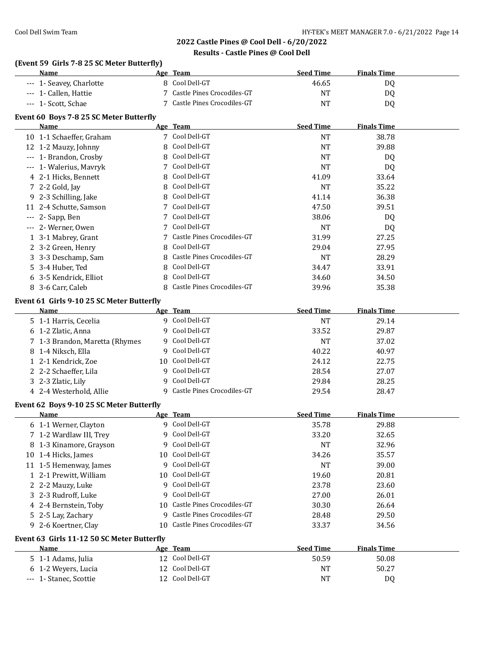# **(Event 59 Girls 7-8 25 SC Meter Butterfly)**

| Name                                             |    | Age Team                           | <b>Seed Time</b> | <b>Finals Time</b> |  |
|--------------------------------------------------|----|------------------------------------|------------------|--------------------|--|
| --- 1- Seavey, Charlotte                         |    | 8 Cool Dell-GT                     | 46.65            | DQ                 |  |
| --- 1- Callen, Hattie                            | 7  | Castle Pines Crocodiles-GT         | <b>NT</b>        | <b>DQ</b>          |  |
| --- 1- Scott, Schae                              |    | 7 Castle Pines Crocodiles-GT       | <b>NT</b>        | DQ                 |  |
| Event 60 Boys 7-8 25 SC Meter Butterfly          |    |                                    |                  |                    |  |
| Name                                             |    | Age Team                           | <b>Seed Time</b> | <b>Finals Time</b> |  |
| 10 1-1 Schaeffer, Graham                         |    | 7 Cool Dell-GT                     | <b>NT</b>        | 38.78              |  |
| 12 1-2 Mauzy, Johnny                             | 8  | Cool Dell-GT                       | <b>NT</b>        | 39.88              |  |
| --- 1- Brandon, Crosby                           | 8  | Cool Dell-GT                       | <b>NT</b>        | DQ                 |  |
| --- 1- Walerius, Mavryk                          | 7  | Cool Dell-GT                       | <b>NT</b>        | DQ                 |  |
| 4 2-1 Hicks, Bennett                             | 8  | Cool Dell-GT                       | 41.09            | 33.64              |  |
| 7 2-2 Gold, Jay                                  | 8  | Cool Dell-GT                       | <b>NT</b>        | 35.22              |  |
| 9 2-3 Schilling, Jake                            | 8  | Cool Dell-GT                       | 41.14            | 36.38              |  |
| 11 2-4 Schutte, Samson                           | 7  | Cool Dell-GT                       | 47.50            | 39.51              |  |
| --- 2- Sapp, Ben                                 | 7  | Cool Dell-GT                       | 38.06            | DQ                 |  |
| --- 2- Werner, Owen                              | 7  | Cool Dell-GT                       | <b>NT</b>        | DQ                 |  |
| 1 3-1 Mabrey, Grant                              |    | Castle Pines Crocodiles-GT         | 31.99            | 27.25              |  |
| 2 3-2 Green, Henry                               | 8  | Cool Dell-GT                       | 29.04            | 27.95              |  |
| 3 3-3 Deschamp, Sam                              | 8  | Castle Pines Crocodiles-GT         | <b>NT</b>        | 28.29              |  |
| 5 3-4 Huber, Ted                                 | 8  | Cool Dell-GT                       | 34.47            | 33.91              |  |
| 6 3-5 Kendrick, Elliot                           | 8  | Cool Dell-GT                       | 34.60            | 34.50              |  |
| 8 3-6 Carr, Caleb                                |    | 8 Castle Pines Crocodiles-GT       | 39.96            | 35.38              |  |
| Event 61 Girls 9-10 25 SC Meter Butterfly        |    |                                    |                  |                    |  |
| Name                                             |    | Age Team                           | <b>Seed Time</b> | <b>Finals Time</b> |  |
| 5 1-1 Harris, Cecelia                            |    | 9 Cool Dell-GT                     | <b>NT</b>        | 29.14              |  |
| 6 1-2 Zlatic, Anna                               | 9  | Cool Dell-GT                       | 33.52            | 29.87              |  |
| 7 1-3 Brandon, Maretta (Rhymes                   | 9  | Cool Dell-GT                       | <b>NT</b>        | 37.02              |  |
| 8 1-4 Niksch, Ella                               | 9  | Cool Dell-GT                       | 40.22            | 40.97              |  |
| 1 2-1 Kendrick, Zoe                              | 10 | Cool Dell-GT                       | 24.12            | 22.75              |  |
| 2 2-2 Schaeffer, Lila                            | 9  | Cool Dell-GT                       | 28.54            | 27.07              |  |
| 3 2-3 Zlatic, Lily                               | 9  | Cool Dell-GT                       | 29.84            | 28.25              |  |
| 4 2-4 Westerhold, Allie                          |    | 9 Castle Pines Crocodiles-GT       | 29.54            | 28.47              |  |
|                                                  |    |                                    |                  |                    |  |
| Event 62 Boys 9-10 25 SC Meter Butterfly<br>Name |    | Age Team                           | <b>Seed Time</b> | <b>Finals Time</b> |  |
| 6 1-1 Werner, Clayton                            |    | 9 Cool Dell-GT                     | 35.78            | 29.88              |  |
| 7 1-2 Wardlaw III, Trey                          |    | 9 Cool Dell-GT                     | 33.20            | 32.65              |  |
| 8 1-3 Kinamore, Grayson                          |    | 9 Cool Dell-GT                     | <b>NT</b>        | 32.96              |  |
| 10 1-4 Hicks, James                              | 10 | Cool Dell-GT                       | 34.26            | 35.57              |  |
| 11 1-5 Hemenway, James                           | 9  | Cool Dell-GT                       | <b>NT</b>        | 39.00              |  |
| 1 2-1 Prewitt, William                           | 10 | Cool Dell-GT                       | 19.60            | 20.81              |  |
| 2 2-2 Mauzy, Luke                                |    | 9 Cool Dell-GT                     | 23.78            | 23.60              |  |
| 3 2-3 Rudroff, Luke                              | 9  | Cool Dell-GT                       | 27.00            | 26.01              |  |
| 4 2-4 Bernstein, Toby                            | 10 | Castle Pines Crocodiles-GT         | 30.30            | 26.64              |  |
| 5 2-5 Lay, Zachary                               |    | 9 Castle Pines Crocodiles-GT       | 28.48            | 29.50              |  |
| 9 2-6 Koertner, Clay                             | 10 | Castle Pines Crocodiles-GT         | 33.37            | 34.56              |  |
|                                                  |    |                                    |                  |                    |  |
| Event 63 Girls 11-12 50 SC Meter Butterfly       |    |                                    |                  |                    |  |
| Name                                             |    | Age Team                           | <b>Seed Time</b> | <b>Finals Time</b> |  |
| 5 1-1 Adams, Julia                               |    | 12 Cool Dell-GT<br>12 Cool Dell-GT | 50.59            | 50.08              |  |
| 6 1-2 Weyers, Lucia                              |    | 12 Cool Dell-GT                    | NT               | 50.27              |  |
| --- 1- Stanec, Scottie                           |    |                                    | NT               | DQ                 |  |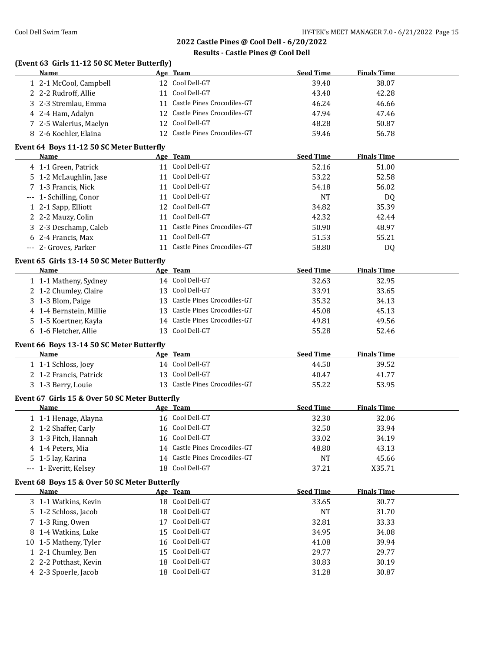### **Results - Castle Pines @ Cool Dell**

## **(Event 63 Girls 11-12 50 SC Meter Butterfly)**

| <b>Name</b>                               |  | Age Team                      | <b>Seed Time</b> | <b>Finals Time</b> |  |  |
|-------------------------------------------|--|-------------------------------|------------------|--------------------|--|--|
| 1 2-1 McCool, Campbell                    |  | 12 Cool Dell-GT               | 39.40            | 38.07              |  |  |
| 2 2-2 Rudroff, Allie                      |  | Cool Dell-GT                  | 43.40            | 42.28              |  |  |
| 3 2-3 Stremlau, Emma                      |  | 11 Castle Pines Crocodiles-GT | 46.24            | 46.66              |  |  |
| 4 2-4 Ham, Adalyn                         |  | 12 Castle Pines Crocodiles-GT | 47.94            | 47.46              |  |  |
| 7 2-5 Walerius, Maelyn                    |  | 12 Cool Dell-GT               | 48.28            | 50.87              |  |  |
| 8 2-6 Koehler, Elaina                     |  | 12 Castle Pines Crocodiles-GT | 59.46            | 56.78              |  |  |
| Event 64 Boys 11-12 50 SC Meter Butterfly |  |                               |                  |                    |  |  |

| Name                    | Age Team                      | <b>Seed Time</b> | <b>Finals Time</b> |
|-------------------------|-------------------------------|------------------|--------------------|
| 4 1-1 Green, Patrick    | 11 Cool Dell-GT               | 52.16            | 51.00              |
| 5 1-2 McLaughlin, Jase  | Cool Dell-GT                  | 53.22            | 52.58              |
| 7 1-3 Francis, Nick     | 11 Cool Dell-GT               | 54.18            | 56.02              |
| --- 1- Schilling, Conor | 11 Cool Dell-GT               | <b>NT</b>        | DQ                 |
| 1 2-1 Sapp, Elliott     | 12 Cool Dell-GT               | 34.82            | 35.39              |
| 2 2-2 Mauzy, Colin      | Cool Dell-GT                  | 42.32            | 42.44              |
| 3 2-3 Deschamp, Caleb   | 11 Castle Pines Crocodiles-GT | 50.90            | 48.97              |
| 6 2-4 Francis, Max      | Cool Dell-GT                  | 51.53            | 55.21              |
| --- 2- Groves, Parker   | Castle Pines Crocodiles-GT    | 58.80            | DQ                 |

### **Event 65 Girls 13-14 50 SC Meter Butterfly**

| Name                    | Age Team                      | <b>Seed Time</b> | <b>Finals Time</b> |
|-------------------------|-------------------------------|------------------|--------------------|
| 1 1-1 Matheny, Sydney   | 14 Cool Dell-GT               | 32.63            | 32.95              |
| 2 1-2 Chumley, Claire   | 13 Cool Dell-GT               | 33.91            | 33.65              |
| 3 1-3 Blom, Paige       | 13 Castle Pines Crocodiles-GT | 35.32            | 34.13              |
| 4 1-4 Bernstein, Millie | 13 Castle Pines Crocodiles-GT | 45.08            | 45.13              |
| 5 1-5 Koertner, Kayla   | 14 Castle Pines Crocodiles-GT | 49.81            | 49.56              |
| 6 1-6 Fletcher, Allie   | 13 Cool Dell-GT               | 55.28            | 52.46              |

### **Event 66 Boys 13-14 50 SC Meter Butterfly**

| <b>Name</b>            | Age Team                      | Seed Time | <b>Finals Time</b> |  |
|------------------------|-------------------------------|-----------|--------------------|--|
| 1 1-1 Schloss, Joey    | 14 Cool Dell-GT               | 44.50     | 39.52              |  |
| 2 1-2 Francis, Patrick | 13 Cool Dell-GT               | 40.47     | 41.77              |  |
| 3 1-3 Berry, Louie     | 13 Castle Pines Crocodiles-GT | 55.22     | 53.95              |  |

### **Event 67 Girls 15 & Over 50 SC Meter Butterfly**

| Name                   | Age Team                      | <b>Seed Time</b> | <b>Finals Time</b> |
|------------------------|-------------------------------|------------------|--------------------|
| 1 1-1 Henage, Alayna   | 16 Cool Dell-GT               | 32.30            | 32.06              |
| 2 1-2 Shaffer, Carly   | 16 Cool Dell-GT               | 32.50            | 33.94              |
| 3 1-3 Fitch, Hannah    | 16 Cool Dell-GT               | 33.02            | 34.19              |
| 4 1-4 Peters, Mia      | 14 Castle Pines Crocodiles-GT | 48.80            | 43.13              |
| 5 1-5 lay, Karina      | 14 Castle Pines Crocodiles-GT | <b>NT</b>        | 45.66              |
| --- 1- Everitt, Kelsey | 18 Cool Dell-GT               | 37.21            | X35.71             |

### **Event 68 Boys 15 & Over 50 SC Meter Butterfly**

| <b>Name</b>           |    | Age Team        | <b>Seed Time</b> | <b>Finals Time</b> |
|-----------------------|----|-----------------|------------------|--------------------|
| 3 1-1 Watkins, Kevin  |    | 18 Cool Dell-GT | 33.65            | 30.77              |
| 5 1-2 Schloss, Jacob  |    | 18 Cool Dell-GT | NT               | 31.70              |
| 7 1-3 Ring, Owen      | 17 | Cool Dell-GT    | 32.81            | 33.33              |
| 8 1-4 Watkins, Luke   |    | 15 Cool Dell-GT | 34.95            | 34.08              |
| 10 1-5 Matheny, Tyler |    | 16 Cool Dell-GT | 41.08            | 39.94              |
| 1 2-1 Chumley, Ben    |    | 15 Cool Dell-GT | 29.77            | 29.77              |
| 2 2-2 Potthast, Kevin |    | 18 Cool Dell-GT | 30.83            | 30.19              |
| 4 2-3 Spoerle, Jacob  |    | 18 Cool Dell-GT | 31.28            | 30.87              |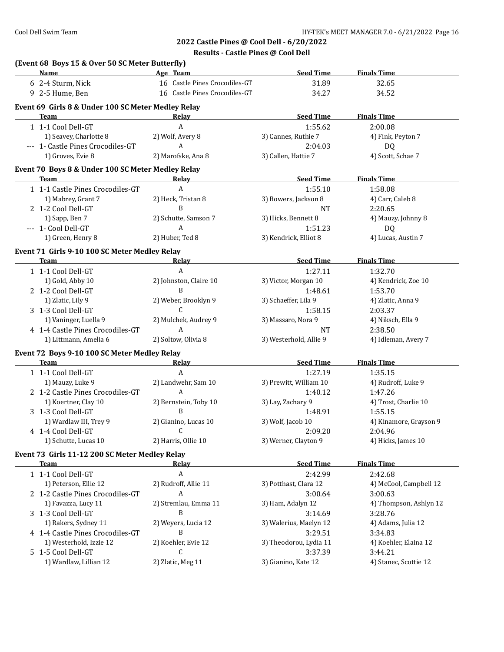| <b>Name</b>                                        | Age Team                      | <b>Seed Time</b>               | <b>Finals Time</b>               |
|----------------------------------------------------|-------------------------------|--------------------------------|----------------------------------|
| 6 2-4 Sturm, Nick                                  | 16 Castle Pines Crocodiles-GT | 31.89                          | 32.65                            |
| 9 2-5 Hume, Ben                                    | 16 Castle Pines Crocodiles-GT | 34.27                          | 34.52                            |
| Event 69 Girls 8 & Under 100 SC Meter Medley Relay |                               |                                |                                  |
| <b>Team</b>                                        | Relay                         | <b>Seed Time</b>               | <b>Finals Time</b>               |
| 1 1-1 Cool Dell-GT                                 | A                             | 1:55.62                        | 2:00.08                          |
| 1) Seavey, Charlotte 8                             | 2) Wolf, Avery 8              | 3) Cannes, Ruthie 7            | 4) Fink, Peyton 7                |
| --- 1- Castle Pines Crocodiles-GT                  | A                             | 2:04.03                        | DQ                               |
|                                                    |                               |                                |                                  |
| 1) Groves, Evie 8                                  | 2) Marofske, Ana 8            | 3) Callen, Hattie 7            | 4) Scott, Schae 7                |
| Event 70 Boys 8 & Under 100 SC Meter Medley Relay  |                               |                                |                                  |
| <b>Team</b>                                        | Relay                         | <b>Seed Time</b>               | <b>Finals Time</b>               |
| 1 1-1 Castle Pines Crocodiles-GT                   | $\overline{A}$                | 1:55.10                        | 1:58.08                          |
| 1) Mabrey, Grant 7                                 | 2) Heck, Tristan 8            | 3) Bowers, Jackson 8           | 4) Carr, Caleb 8                 |
| 2 1-2 Cool Dell-GT                                 | B                             | NT                             | 2:20.65                          |
| 1) Sapp, Ben 7                                     | 2) Schutte, Samson 7          | 3) Hicks, Bennett 8            | 4) Mauzy, Johnny 8               |
| --- 1- Cool Dell-GT                                | A                             | 1:51.23                        | DQ                               |
| 1) Green, Henry 8                                  | 2) Huber, Ted 8               | 3) Kendrick, Elliot 8          | 4) Lucas, Austin 7               |
| Event 71 Girls 9-10 100 SC Meter Medley Relay      |                               |                                |                                  |
| Team                                               | Relay                         | <b>Seed Time</b>               | <b>Finals Time</b>               |
| 1 1-1 Cool Dell-GT                                 | A                             | 1:27.11                        | 1:32.70                          |
| 1) Gold, Abby 10                                   | 2) Johnston, Claire 10        | 3) Victor, Morgan 10           | 4) Kendrick, Zoe 10              |
| 2 1-2 Cool Dell-GT                                 | B                             | 1:48.61                        | 1:53.70                          |
| 1) Zlatic, Lily 9                                  | 2) Weber, Brooklyn 9          | 3) Schaeffer, Lila 9           | 4) Zlatic, Anna 9                |
| 3 1-3 Cool Dell-GT                                 | C                             | 1:58.15                        | 2:03.37                          |
| 1) Vaninger, Luella 9                              | 2) Mulchek, Audrey 9          |                                |                                  |
|                                                    | A                             | 3) Massaro, Nora 9             | 4) Niksch, Ella 9<br>2:38.50     |
| 4 1-4 Castle Pines Crocodiles-GT                   |                               | NT                             |                                  |
| 1) Littmann, Amelia 6                              | 2) Soltow, Olivia 8           | 3) Westerhold, Allie 9         | 4) Idleman, Avery 7              |
| Event 72 Boys 9-10 100 SC Meter Medley Relay       |                               |                                |                                  |
| Team                                               | Relay                         | <b>Seed Time</b>               | <b>Finals Time</b>               |
| 1 1-1 Cool Dell-GT                                 | A                             | 1:27.19                        | 1:35.15                          |
| 1) Mauzy, Luke 9                                   | 2) Landwehr, Sam 10           | 3) Prewitt, William 10         | 4) Rudroff, Luke 9               |
| 2 1-2 Castle Pines Crocodiles-GT                   | A                             | 1:40.12                        | 1:47.26                          |
| 1) Koertner, Clay 10                               | 2) Bernstein, Toby 10         | 3) Lay, Zachary 9              | 4) Trost, Charlie 10             |
| 3 1-3 Cool Dell-GT                                 | B                             | 1:48.91                        | 1:55.15                          |
| 1) Wardlaw III, Trey 9                             | 2) Gianino, Lucas 10          | 3) Wolf, Jacob 10              | 4) Kinamore, Grayson 9           |
| 4 1-4 Cool Dell-GT                                 | $\overline{c}$                | 2:09.20                        | 2:04.96                          |
| 1) Schutte, Lucas 10                               | 2) Harris, Ollie 10           | 3) Werner, Clayton 9           | 4) Hicks, James 10               |
| Event 73 Girls 11-12 200 SC Meter Medley Relay     |                               |                                |                                  |
| <b>Team</b>                                        | Relay                         | <b>Seed Time</b>               | <b>Finals Time</b>               |
| 1 1-1 Cool Dell-GT                                 | $\boldsymbol{A}$              | 2:42.99                        | 2:42.68                          |
| 1) Peterson, Ellie 12                              | 2) Rudroff, Allie 11          | 3) Potthast, Clara 12          | 4) McCool, Campbell 12           |
| 2 1-2 Castle Pines Crocodiles-GT                   | A                             | 3:00.64                        | 3:00.63                          |
| 1) Favazza, Lucy 11                                | 2) Stremlau, Emma 11          | 3) Ham, Adalyn 12              | 4) Thompson, Ashlyn 12           |
|                                                    | B                             |                                |                                  |
| 3 1-3 Cool Dell-GT                                 |                               | 3:14.69                        | 3:28.76                          |
| 1) Rakers, Sydney 11                               | 2) Weyers, Lucia 12           | 3) Walerius, Maelyn 12         | 4) Adams, Julia 12               |
| 4 1-4 Castle Pines Crocodiles-GT                   | B                             | 3:29.51                        | 3:34.83                          |
| 1) Westerhold, Izzie 12                            | 2) Koehler, Evie 12           | 3) Theodorou, Lydia 11         | 4) Koehler, Elaina 12            |
| 5 1-5 Cool Dell-GT                                 | C                             | 3:37.39<br>3) Gianino, Kate 12 | 3:44.21<br>4) Stanec, Scottie 12 |
| 1) Wardlaw, Lillian 12                             | 2) Zlatic, Meg 11             |                                |                                  |